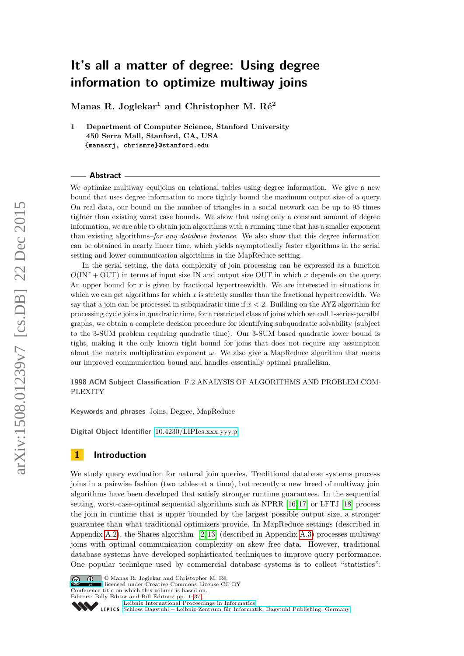**Manas R. Joglekar<sup>1</sup> and Christopher M. Ré<sup>2</sup>**

**1 Department of Computer Science, Stanford University 450 Serra Mall, Stanford, CA, USA {manasrj, chrismre}@stanford.edu**

### **Abstract**

We optimize multiway equijoins on relational tables using degree information. We give a new bound that uses degree information to more tightly bound the maximum output size of a query. On real data, our bound on the number of triangles in a social network can be up to 95 times tighter than existing worst case bounds. We show that using only a constant amount of degree information, we are able to obtain join algorithms with a running time that has a smaller exponent than existing algorithms–*for any database instance*. We also show that this degree information can be obtained in nearly linear time, which yields asymptotically faster algorithms in the serial setting and lower communication algorithms in the MapReduce setting.

In the serial setting, the data complexity of join processing can be expressed as a function  $O(\text{IN}^x + \text{OUT})$  in terms of input size IN and output size OUT in which *x* depends on the query. An upper bound for *x* is given by fractional hypertreewidth. We are interested in situations in which we can get algorithms for which  $x$  is strictly smaller than the fractional hypertreewidth. We say that a join can be processed in subquadratic time if *x <* 2. Building on the AYZ algorithm for processing cycle joins in quadratic time, for a restricted class of joins which we call 1-series-parallel graphs, we obtain a complete decision procedure for identifying subquadratic solvability (subject to the 3-SUM problem requiring quadratic time). Our 3-SUM based quadratic lower bound is tight, making it the only known tight bound for joins that does not require any assumption about the matrix multiplication exponent  $\omega$ . We also give a MapReduce algorithm that meets our improved communication bound and handles essentially optimal parallelism.

**1998 ACM Subject Classification** F.2 ANALYSIS OF ALGORITHMS AND PROBLEM COM-PLEXITY

**Keywords and phrases** Joins, Degree, MapReduce

**Digital Object Identifier** [10.4230/LIPIcs.xxx.yyy.p](http://dx.doi.org/10.4230/LIPIcs.xxx.yyy.p)

# **1 Introduction**

We study query evaluation for natural join queries. Traditional database systems process joins in a pairwise fashion (two tables at a time), but recently a new breed of multiway join algorithms have been developed that satisfy stronger runtime guarantees. In the sequential setting, worst-case-optimal sequential algorithms such as NPRR [\[16,](#page-16-0) [17\]](#page-16-1) or LFTJ [\[18\]](#page-16-2) process the join in runtime that is upper bounded by the largest possible output size, a stronger guarantee than what traditional optimizers provide. In MapReduce settings (described in Appendix [A.2\)](#page-17-0), the Shares algorithm [\[2,](#page-16-3) [13\]](#page-16-4) (described in Appendix [A.3\)](#page-17-1) processes multiway joins with optimal communication complexity on skew free data. However, traditional database systems have developed sophisticated techniques to improve query performance. One popular technique used by commercial database systems is to collect "statistics":



© Manas R. Joglekar and Christopher M. Ré; licensed under Creative Commons License CC-BY Conference title on which this volume is based on.

Editors: Billy Editor and Bill Editors; pp. 1[–37](#page-36-0)

[Leibniz International Proceedings in Informatics](http://www.dagstuhl.de/lipics/)

[Schloss Dagstuhl – Leibniz-Zentrum für Informatik, Dagstuhl Publishing, Germany](http://www.dagstuhl.de)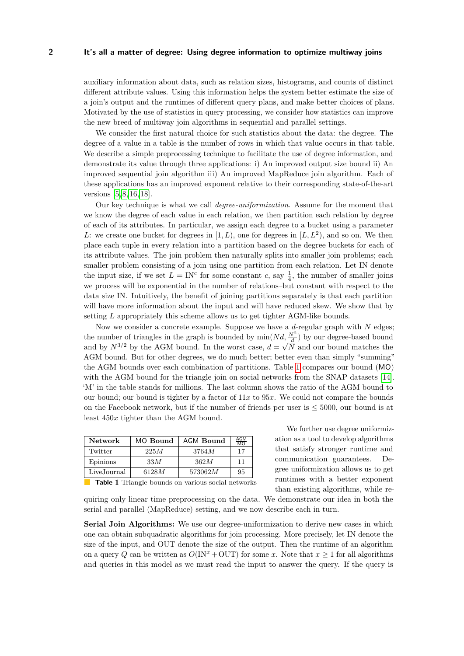auxiliary information about data, such as relation sizes, histograms, and counts of distinct different attribute values. Using this information helps the system better estimate the size of a join's output and the runtimes of different query plans, and make better choices of plans. Motivated by the use of statistics in query processing, we consider how statistics can improve the new breed of multiway join algorithms in sequential and parallel settings.

We consider the first natural choice for such statistics about the data: the degree. The degree of a value in a table is the number of rows in which that value occurs in that table. We describe a simple preprocessing technique to facilitate the use of degree information, and demonstrate its value through three applications: i) An improved output size bound ii) An improved sequential join algorithm iii) An improved MapReduce join algorithm. Each of these applications has an improved exponent relative to their corresponding state-of-the-art versions [\[5,](#page-16-5) [8,](#page-16-6) [16,](#page-16-0) [18\]](#page-16-2).

Our key technique is what we call *degree-uniformization*. Assume for the moment that we know the degree of each value in each relation, we then partition each relation by degree of each of its attributes. In particular, we assign each degree to a bucket using a parameter *L*: we create one bucket for degrees in  $[1, L)$ , one for degrees in  $[L, L^2)$ , and so on. We then place each tuple in every relation into a partition based on the degree buckets for each of its attribute values. The join problem then naturally splits into smaller join problems; each smaller problem consisting of a join using one partition from each relation. Let IN denote the input size, if we set  $L = \text{IN}^c$  for some constant *c*, say  $\frac{1}{4}$ , the number of smaller joins we process will be exponential in the number of relations–but constant with respect to the data size IN. Intuitively, the benefit of joining partitions separately is that each partition will have more information about the input and will have reduced skew. We show that by setting *L* appropriately this scheme allows us to get tighter AGM-like bounds.

Now we consider a concrete example. Suppose we have a *d*-regular graph with *N* edges; the number of triangles in the graph is bounded by  $\min(Nd, \frac{N^2}{d})$  by our degree-based bound and by  $N^{3/2}$  by the AGM bound. In the worst case,  $d = \sqrt{N}$  and our bound matches the AGM bound. But for other degrees, we do much better; better even than simply "summing" the AGM bounds over each combination of partitions. Table [1](#page-1-0) compares our bound (MO) with the AGM bound for the triangle join on social networks from the SNAP datasets [\[14\]](#page-16-7). 'M' in the table stands for millions. The last column shows the ratio of the AGM bound to our bound; our bound is tighter by a factor of 11*x* to 95*x*. We could not compare the bounds on the Facebook network, but if the number of friends per user is  $\leq 5000$ , our bound is at least 450*x* tighter than the AGM bound.

<span id="page-1-0"></span>

| <b>Network</b> | MO Bound | AGM Bound | AGM<br>$\overline{MO}$ |
|----------------|----------|-----------|------------------------|
| Twitter        | 225M     | 3764M     | 17                     |
| Epinions       | 33M      | 362M      | 11                     |
| LiveJournal    | 6128M    | 573062M   | 95                     |
|                |          |           |                        |

We further use degree uniformization as a tool to develop algorithms that satisfy stronger runtime and communication guarantees. Degree uniformization allows us to get runtimes with a better exponent than existing algorithms, while re-

**Table 1** Triangle bounds on various social networks

quiring only linear time preprocessing on the data. We demonstrate our idea in both the serial and parallel (MapReduce) setting, and we now describe each in turn.

**Serial Join Algorithms:** We use our degree-uniformization to derive new cases in which one can obtain subquadratic algorithms for join processing. More precisely, let IN denote the size of the input, and OUT denote the size of the output. Then the runtime of an algorithm on a query *Q* can be written as  $O(\text{IN}^x + \text{OUT})$  for some *x*. Note that  $x \ge 1$  for all algorithms and queries in this model as we must read the input to answer the query. If the query is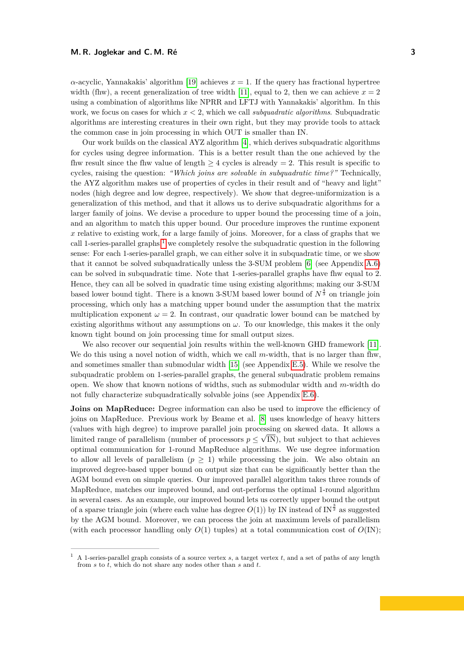$\alpha$ -acyclic, Yannakakis' algorithm [\[19\]](#page-16-8) achieves  $x = 1$ . If the query has fractional hypertree width (fhw), a recent generalization of tree width [\[11\]](#page-16-9), equal to 2, then we can achieve  $x = 2$ using a combination of algorithms like NPRR and LFTJ with Yannakakis' algorithm. In this work, we focus on cases for which *x <* 2, which we call *subquadratic algorithms*. Subquadratic algorithms are interesting creatures in their own right, but they may provide tools to attack the common case in join processing in which OUT is smaller than IN.

Our work builds on the classical AYZ algorithm [\[4\]](#page-16-10), which derives subquadratic algorithms for cycles using degree information. This is a better result than the one achieved by the fhw result since the fluw value of length  $\geq 4$  cycles is already = 2. This result is specific to cycles, raising the question: *"Which joins are solvable in subquadratic time?"* Technically, the AYZ algorithm makes use of properties of cycles in their result and of "heavy and light" nodes (high degree and low degree, respectively). We show that degree-uniformization is a generalization of this method, and that it allows us to derive subquadratic algorithms for a larger family of joins. We devise a procedure to upper bound the processing time of a join, and an algorithm to match this upper bound. Our procedure improves the runtime exponent *x* relative to existing work, for a large family of joins. Moreover, for a class of graphs that we call [1](#page-2-0)-series-parallel graphs,<sup>1</sup> we completely resolve the subquadratic question in the following sense: For each 1-series-parallel graph, we can either solve it in subquadratic time, or we show that it cannot be solved subquadratically unless the 3-SUM problem [\[6\]](#page-16-11) (see Appendix [A.6\)](#page-19-0) can be solved in subquadratic time. Note that 1-series-parallel graphs have fhw equal to 2. Hence, they can all be solved in quadratic time using existing algorithms; making our 3-SUM based lower bound tight. There is a known 3-SUM based lower bound of  $N^{\frac{4}{3}}$  on triangle join processing, which only has a matching upper bound under the assumption that the matrix multiplication exponent  $\omega = 2$ . In contrast, our quadratic lower bound can be matched by existing algorithms without any assumptions on  $\omega$ . To our knowledge, this makes it the only known tight bound on join processing time for small output sizes.

We also recover our sequential join results within the well-known GHD framework [\[11\]](#page-16-9). We do this using a novel notion of width, which we call *m*-width, that is no larger than flw, and sometimes smaller than submodular width [\[15\]](#page-16-12) (see Appendix [E.5\)](#page-29-0). While we resolve the subquadratic problem on 1-series-parallel graphs, the general subquadratic problem remains open. We show that known notions of widths, such as submodular width and *m*-width do not fully characterize subquadratically solvable joins (see Appendix [E.6\)](#page-30-0).

**Joins on MapReduce:** Degree information can also be used to improve the efficiency of joins on MapReduce. Previous work by Beame et al. [\[8\]](#page-16-6) uses knowledge of heavy hitters (values with high degree) to improve parallel join processing on skewed data. It allows a √ limited range of parallelism (number of processors  $p \leq \sqrt{N}$ ), but subject to that achieves optimal communication for 1-round MapReduce algorithms. We use degree information to allow all levels of parallelism  $(p \geq 1)$  while processing the join. We also obtain an improved degree-based upper bound on output size that can be significantly better than the AGM bound even on simple queries. Our improved parallel algorithm takes three rounds of MapReduce, matches our improved bound, and out-performs the optimal 1-round algorithm in several cases. As an example, our improved bound lets us correctly upper bound the output of a sparse triangle join (where each value has degree  $O(1)$ ) by IN instead of IN<sup>3</sup> as suggested by the AGM bound. Moreover, we can process the join at maximum levels of parallelism (with each processor handling only  $O(1)$  tuples) at a total communication cost of  $O(1)$ ;

<span id="page-2-0"></span><sup>1</sup> A 1-series-parallel graph consists of a source vertex *s*, a target vertex *t*, and a set of paths of any length from *s* to *t*, which do not share any nodes other than *s* and *t*.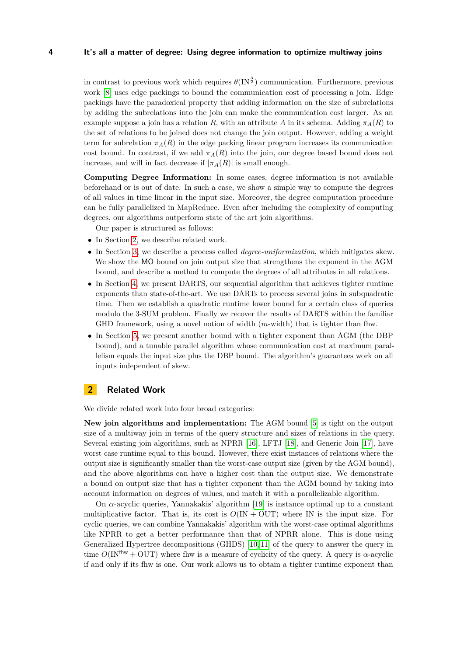in contrast to previous work which requires  $\theta(\text{IN}^{\frac{3}{2}})$  communication. Furthermore, previous work [\[8\]](#page-16-6) uses edge packings to bound the communication cost of processing a join. Edge packings have the paradoxical property that adding information on the size of subrelations by adding the subrelations into the join can make the communication cost larger. As an example suppose a join has a relation *R*, with an attribute *A* in its schema. Adding  $\pi_A(R)$  to the set of relations to be joined does not change the join output. However, adding a weight term for subrelation  $\pi_A(R)$  in the edge packing linear program increases its communication cost bound. In contrast, if we add  $\pi_A(R)$  into the join, our degree based bound does not increase, and will in fact decrease if  $|\pi_A(R)|$  is small enough.

**Computing Degree Information:** In some cases, degree information is not available beforehand or is out of date. In such a case, we show a simple way to compute the degrees of all values in time linear in the input size. Moreover, the degree computation procedure can be fully parallelized in MapReduce. Even after including the complexity of computing degrees, our algorithms outperform state of the art join algorithms.

Our paper is structured as follows:

- In Section [2,](#page-3-0) we describe related work.
- In Section [3,](#page-5-0) we describe a process called *degree-uniformization*, which mitigates skew. We show the MO bound on join output size that strengthens the exponent in the AGM bound, and describe a method to compute the degrees of all attributes in all relations.
- In Section [4,](#page-8-0) we present DARTS, our sequential algorithm that achieves tighter runtime exponents than state-of-the-art. We use DARTs to process several joins in subquadratic time. Then we establish a quadratic runtime lower bound for a certain class of queries modulo the 3-SUM problem. Finally we recover the results of DARTS within the familiar GHD framework, using a novel notion of width (*m*-width) that is tighter than fhw.
- In Section [5,](#page-13-0) we present another bound with a tighter exponent than AGM (the DBP bound), and a tunable parallel algorithm whose communication cost at maximum parallelism equals the input size plus the DBP bound. The algorithm's guarantees work on all inputs independent of skew.

# <span id="page-3-0"></span>**2 Related Work**

We divide related work into four broad categories:

**New join algorithms and implementation:** The AGM bound [\[5\]](#page-16-5) is tight on the output size of a multiway join in terms of the query structure and sizes of relations in the query. Several existing join algorithms, such as NPRR [\[16\]](#page-16-0), LFTJ [\[18\]](#page-16-2), and Generic Join [\[17\]](#page-16-1), have worst case runtime equal to this bound. However, there exist instances of relations where the output size is significantly smaller than the worst-case output size (given by the AGM bound), and the above algorithms can have a higher cost than the output size. We demonstrate a bound on output size that has a tighter exponent than the AGM bound by taking into account information on degrees of values, and match it with a parallelizable algorithm.

On *α*-acyclic queries, Yannakakis' algorithm [\[19\]](#page-16-8) is instance optimal up to a constant multiplicative factor. That is, its cost is  $O(IN + OUT)$  where IN is the input size. For cyclic queries, we can combine Yannakakis' algorithm with the worst-case optimal algorithms like NPRR to get a better performance than that of NPRR alone. This is done using Generalized Hypertree decompositions (GHDS) [\[10,](#page-16-13) [11\]](#page-16-9) of the query to answer the query in time  $O(\text{IN}^{\text{fhw}} + \text{OUT})$  where fhw is a measure of cyclicity of the query. A query is  $\alpha$ -acyclic if and only if its fhw is one. Our work allows us to obtain a tighter runtime exponent than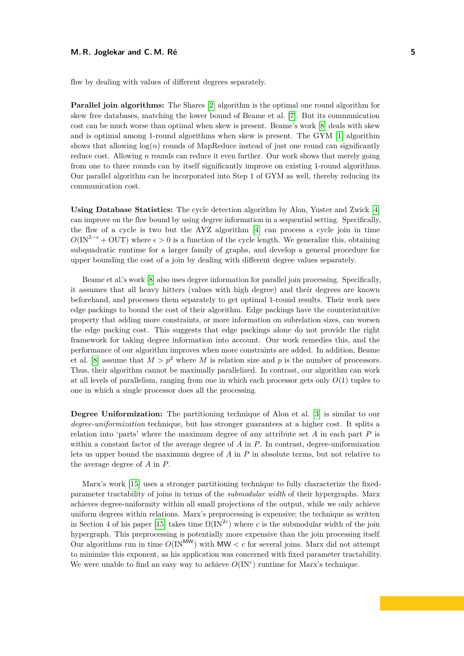#### **M. R. Joglekar and C. M. Ré 5**

fhw by dealing with values of different degrees separately.

**Parallel join algorithms:** The Shares [\[2\]](#page-16-3) algorithm is the optimal one round algorithm for skew free databases, matching the lower bound of Beame et al. [\[7\]](#page-16-14). But its communication cost can be much worse than optimal when skew is present. Beame's work [\[8\]](#page-16-6) deals with skew and is optimal among 1-round algorithms when skew is present. The GYM [\[1\]](#page-16-15) algorithm shows that allowing  $log(n)$  rounds of MapReduce instead of just one round can significantly reduce cost. Allowing *n* rounds can reduce it even further. Our work shows that merely going from one to three rounds can by itself significantly improve on existing 1-round algorithms. Our parallel algorithm can be incorporated into Step 1 of GYM as well, thereby reducing its communication cost.

**Using Database Statistics:** The cycle detection algorithm by Alon, Yuster and Zwick [\[4\]](#page-16-10) can improve on the fhw bound by using degree information in a sequential setting. Specifically, the fhw of a cycle is two but the AYZ algorithm [\[4\]](#page-16-10) can process a cycle join in time  $O(\text{IN}^{2-\epsilon} + \text{OUT})$  where  $\epsilon > 0$  is a function of the cycle length. We generalize this, obtaining subquadratic runtime for a larger family of graphs, and develop a general procedure for upper bounding the cost of a join by dealing with different degree values separately.

Beame et al.'s work [\[8\]](#page-16-6) also uses degree information for parallel join processing. Specifically, it assumes that all heavy hitters (values with high degree) and their degrees are known beforehand, and processes them separately to get optimal 1-round results. Their work uses edge packings to bound the cost of their algorithm. Edge packings have the counterintuitive property that adding more constraints, or more information on subrelation sizes, can worsen the edge packing cost. This suggests that edge packings alone do not provide the right framework for taking degree information into account. Our work remedies this, and the performance of our algorithm improves when more constraints are added. In addition, Beame et al. [\[8\]](#page-16-6) assume that  $M > p^2$  where M is relation size and p is the number of processors. Thus, their algorithm cannot be maximally parallelized. In contrast, our algorithm can work at all levels of parallelism, ranging from one in which each processor gets only *O*(1) tuples to one in which a single processor does all the processing.

**Degree Uniformization:** The partitioning technique of Alon et al. [\[3\]](#page-16-16) is similar to our *degree-uniformization* technique, but has stronger guarantees at a higher cost. It splits a relation into 'parts' where the maximum degree of any attribute set *A* in each part *P* is within a constant factor of the average degree of *A* in *P*. In contrast, degree-uniformization lets us upper bound the maximum degree of *A* in *P* in absolute terms, but not relative to the average degree of *A* in *P*.

Marx's work [\[15\]](#page-16-12) uses a stronger partitioning technique to fully characterize the fixedparameter tractability of joins in terms of the *submodular width* of their hypergraphs. Marx achieves degree-uniformity within all small projections of the output, while we only achieve uniform degrees within relations. Marx's preprocessing is expensive; the technique as written in Section 4 of his paper [\[15\]](#page-16-12) takes time  $\Omega(N^{2c})$  where *c* is the submodular width of the join hypergraph. This preprocessing is potentially more expensive than the join processing itself. Our algorithms run in time  $O(N^{MW})$  with MW  $\lt c$  for several joins. Marx did not attempt to minimize this exponent, as his application was concerned with fixed parameter tractability. We were unable to find an easy way to achieve  $O($ IN<sup>c</sup> $)$  runtime for Marx's technique.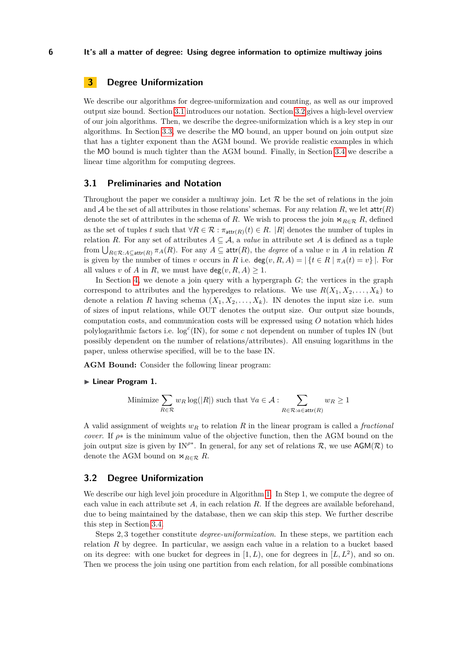# <span id="page-5-0"></span>**3 Degree Uniformization**

We describe our algorithms for degree-uniformization and counting, as well as our improved output size bound. Section [3.1](#page-5-1) introduces our notation. Section [3.2](#page-5-2) gives a high-level overview of our join algorithms. Then, we describe the degree-uniformization which is a key step in our algorithms. In Section [3.3,](#page-7-0) we describe the MO bound, an upper bound on join output size that has a tighter exponent than the AGM bound. We provide realistic examples in which the MO bound is much tighter than the AGM bound. Finally, in Section [3.4](#page-8-1) we describe a linear time algorithm for computing degrees.

### <span id="page-5-1"></span>**3.1 Preliminaries and Notation**

Throughout the paper we consider a multiway join. Let  $R$  be the set of relations in the join and A be the set of all attributes in those relations' schemas. For any relation R, we let  $\text{attr}(R)$ denote the set of attributes in the schema of *R*. We wish to process the join  $\Join_{R\in\mathcal{R}} R$ , defined as the set of tuples *t* such that  $\forall R \in \mathcal{R} : \pi_{\text{attr}(R)}(t) \in R$ . |R| denotes the number of tuples in relation *R*. For any set of attributes  $A \subseteq \mathcal{A}$ , a *value* in attribute set *A* is defined as a tuple from  $\bigcup_{R\in\mathcal{R}:A\subseteq \text{attr}(R)} \pi_A(R)$ . For any  $A\subseteq \text{attr}(R)$ , the *degree* of a value *v* in *A* in relation *R* is given by the number of times *v* occurs in *R* i.e. deg(*v, R, A*) =  $\{t \in R \mid \pi_A(t) = v\}$ . For all values *v* of *A* in *R*, we must have  $deg(v, R, A) \geq 1$ .

In Section [4,](#page-8-0) we denote a join query with a hypergraph *G*; the vertices in the graph correspond to attributes and the hyperedges to relations. We use  $R(X_1, X_2, \ldots, X_k)$  to denote a relation *R* having schema  $(X_1, X_2, \ldots, X_k)$ . IN denotes the input size i.e. sum of sizes of input relations, while OUT denotes the output size. Our output size bounds, computation costs, and communication costs will be expressed using *O* notation which hides polylogarithmic factors i.e.  $log<sup>c</sup>(IN)$ , for some *c* not dependent on number of tuples IN (but possibly dependent on the number of relations/attributes). All ensuing logarithms in the paper, unless otherwise specified, will be to the base IN.

**AGM Bound:** Consider the following linear program:

#### ► Linear Program 1.

Minimize 
$$
\sum_{R \in \mathcal{R}} w_R \log(|R|)
$$
 such that  $\forall a \in \mathcal{A}$  :  $\sum_{R \in \mathcal{R}: a \in \text{attr}(R)} w_R \ge 1$ 

A valid assignment of weights *w<sup>R</sup>* to relation *R* in the linear program is called a *fractional cover*. If  $\rho^*$  is the minimum value of the objective function, then the AGM bound on the join output size is given by IN<sup> $\rho$ \*</sup>. In general, for any set of relations R, we use  $AGM(\mathcal{R})$  to denote the AGM bound on  $\ltimes_{R \in \mathcal{R}} R$ .

### <span id="page-5-2"></span>**3.2 Degree Uniformization**

We describe our high level join procedure in Algorithm [1.](#page-6-0) In Step 1, we compute the degree of each value in each attribute set *A*, in each relation *R*. If the degrees are available beforehand, due to being maintained by the database, then we can skip this step. We further describe this step in Section [3.4.](#page-8-1)

Steps 2*,* 3 together constitute *degree-uniformization*. In these steps, we partition each relation  $R$  by degree. In particular, we assign each value in a relation to a bucket based on its degree: with one bucket for degrees in  $[1, L)$ , one for degrees in  $[L, L^2)$ , and so on. Then we process the join using one partition from each relation, for all possible combinations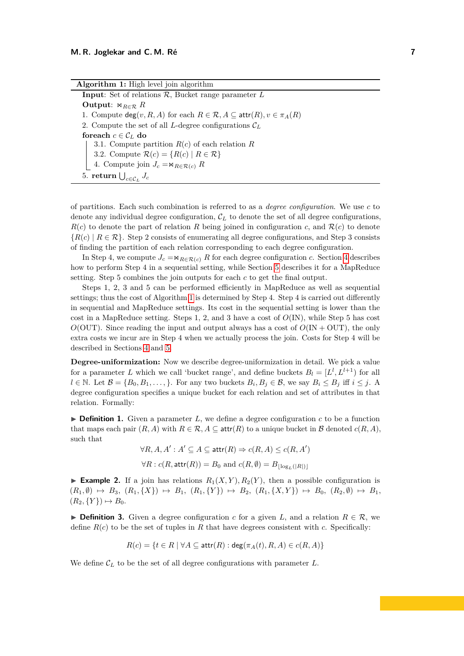| <b>Algorithm 1:</b> High level join algorithm                                                      |
|----------------------------------------------------------------------------------------------------|
| <b>Input:</b> Set of relations $\mathcal{R}$ , Bucket range parameter $L$                          |
| Output: $\bowtie_{R \in \mathcal{R}} R$                                                            |
| 1. Compute $deg(v, R, A)$ for each $R \in \mathcal{R}, A \subseteq \text{attr}(R), v \in \pi_A(R)$ |
| 2. Compute the set of all L-degree configurations $\mathcal{C}_L$                                  |
| foreach $c \in \mathcal{C}_L$ do                                                                   |
| 3.1. Compute partition $R(c)$ of each relation R                                                   |
| 3.2. Compute $\mathcal{R}(c) = \{R(c)   R \in \mathcal{R}\}\$                                      |
| 4. Compute join $J_c = \mathbb{1}_{R \in \mathcal{R}(c)} R$                                        |
| 5. return $\bigcup_{c \in \mathcal{C}_L} J_c$                                                      |

<span id="page-6-0"></span>of partitions. Each such combination is referred to as a *degree configuration*. We use *c* to denote any individual degree configuration, C*<sup>L</sup>* to denote the set of all degree configurations,  $R(c)$  to denote the part of relation R being joined in configuration c, and  $R(c)$  to denote  ${R(c) | R \in \mathcal{R}}$ . Step 2 consists of enumerating all degree configurations, and Step 3 consists of finding the partition of each relation corresponding to each degree configuration.

In Step [4](#page-8-0), we compute  $J_c = \mathbb{R}_{R \in \mathcal{R}(c)} R$  for each degree configuration *c*. Section 4 describes how to perform Step 4 in a sequential setting, while Section [5](#page-13-0) describes it for a MapReduce setting. Step 5 combines the join outputs for each *c* to get the final output.

Steps 1, 2, 3 and 5 can be performed efficiently in MapReduce as well as sequential settings; thus the cost of Algorithm [1](#page-6-0) is determined by Step 4. Step 4 is carried out differently in sequential and MapReduce settings. Its cost in the sequential setting is lower than the cost in a MapReduce setting. Steps 1, 2, and 3 have a cost of *O*(IN), while Step 5 has cost  $O(OUT)$ . Since reading the input and output always has a cost of  $O(IV + OUT)$ , the only extra costs we incur are in Step 4 when we actually process the join. Costs for Step 4 will be described in Sections [4](#page-8-0) and [5.](#page-13-0)

**Degree-uniformization:** Now we describe degree-uniformization in detail. We pick a value for a parameter *L* which we call 'bucket range', and define buckets  $B_l = [L^l, L^{l+1})$  for all  $l \in \mathbb{N}$ . Let  $\mathcal{B} = \{B_0, B_1, \ldots, \}$ . For any two buckets  $B_i, B_j \in \mathcal{B}$ , we say  $B_i \leq B_j$  iff  $i \leq j$ . A degree configuration specifies a unique bucket for each relation and set of attributes in that relation. Formally:

 $\triangleright$  **Definition 1.** Given a parameter L, we define a degree configuration c to be a function that maps each pair  $(R, A)$  with  $R \in \mathcal{R}, A \subseteq \text{attr}(R)$  to a unique bucket in  $\mathcal B$  denoted  $c(R, A)$ , such that

> $\forall R, A, A' : A' \subseteq A \subseteq \mathsf{attr}(R) \Rightarrow c(R, A) \leq c(R, A')$  $\forall R : c(R, \textsf{attr}(R)) = B_0 \text{ and } c(R, \emptyset) = B_{\lfloor \log_{L}(|R|) \rfloor}$

**Example 2.** If a join has relations  $R_1(X, Y), R_2(Y)$ , then a possible configuration is  $(R_1, \emptyset) \mapsto B_3, (R_1, \{X\}) \mapsto B_1, (R_1, \{Y\}) \mapsto B_2, (R_1, \{X, Y\}) \mapsto B_0, (R_2, \emptyset) \mapsto B_1,$  $(R_2, \{Y\}) \mapsto B_0.$ 

**► Definition 3.** Given a degree configuration *c* for a given *L*, and a relation  $R \in \mathcal{R}$ , we define  $R(c)$  to be the set of tuples in R that have degrees consistent with c. Specifically:

$$
R(c) = \{ t \in R \mid \forall A \subseteq \text{attr}(R) : \text{deg}(\pi_A(t), R, A) \in c(R, A) \}
$$

We define  $\mathcal{C}_L$  to be the set of all degree configurations with parameter  $L$ .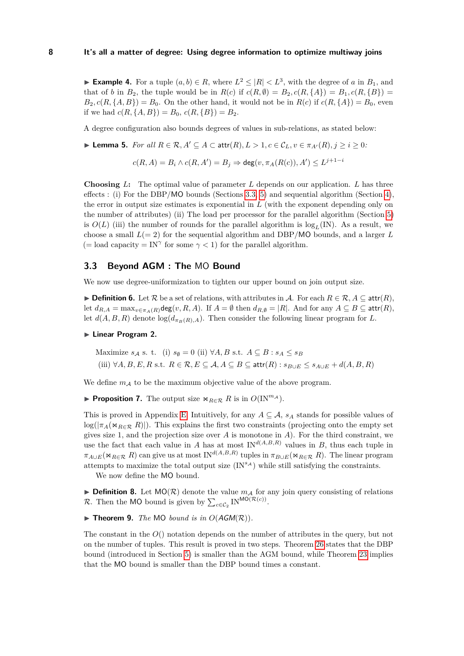► **Example 4.** For a tuple  $(a, b) \in R$ , where  $L^2 \leq |R| < L^3$ , with the degree of *a* in  $B_1$ , and that of *b* in  $B_2$ , the tuple would be in  $R(c)$  if  $c(R, \emptyset) = B_2, c(R, \{A\}) = B_1, c(R, \{B\}) =$  $B_2, c(R, \{A, B\}) = B_0$ . On the other hand, it would not be in  $R(c)$  if  $c(R, \{A\}) = B_0$ , even if we had  $c(R, \{A, B\}) = B_0, c(R, \{B\}) = B_2.$ 

A degree configuration also bounds degrees of values in sub-relations, as stated below:

► **Lemma 5.** *For all*  $R \in \mathcal{R}, A' \subseteq A \subseteq \text{attr}(R), L > 1, c \in \mathcal{C}_L, v \in \pi_{A'}(R), j > i > 0$ :

 $c(R, A) = B_i \wedge c(R, A') = B_j \Rightarrow \deg(v, \pi_A(R(c)), A') \leq L^{j+1-i}$ 

**Choosing** *L***:** The optimal value of parameter *L* depends on our application. *L* has three effects : (i) For the DBP/MO bounds (Sections [3.3,](#page-7-0) [5\)](#page-13-0) and sequential algorithm (Section [4\)](#page-8-0), the error in output size estimates is exponential in *L* (with the exponent depending only on the number of attributes) (ii) The load per processor for the parallel algorithm (Section [5\)](#page-13-0) is  $O(L)$  (iii) the number of rounds for the parallel algorithm is  $log_L(N)$ . As a result, we choose a small  $L(= 2)$  for the sequential algorithm and DBP/MO bounds, and a larger L (= load capacity = IN<sup> $\gamma$ </sup> for some  $\gamma$  < 1) for the parallel algorithm.

### <span id="page-7-0"></span>**3.3 Beyond AGM : The** MO **Bound**

We now use degree-uniformization to tighten our upper bound on join output size.

**► Definition 6.** Let  $\mathcal{R}$  be a set of relations, with attributes in A. For each  $R \in \mathcal{R}$ ,  $A \subseteq \text{attr}(R)$ , let  $d_{R,A} = \max_{v \in \pi_A(R)} \deg(v, R, A)$ . If  $A = \emptyset$  then  $d_{R,\emptyset} = |R|$ . And for any  $A \subseteq B \subseteq \text{attr}(R)$ , let  $d(A, B, R)$  denote  $log(d_{\pi_B(R), A})$ . Then consider the following linear program for *L*.

### <span id="page-7-1"></span>**Example 2.** Linear Program 2.

$$
\begin{aligned}\n\text{Maximize } s_A \text{ s. t. (i) } s_{\emptyset} &= 0 \text{ (ii) } \forall A, B \text{ s.t. } A \subseteq B : s_A \le s_B \\
\text{(iii) } \forall A, B, E, R \text{ s.t. } R \in \mathcal{R}, E \subseteq \mathcal{A}, A \subseteq B \subseteq \text{attr}(R) : s_{B \cup E} \le s_{A \cup E} + d(A, B, R)\n\end{aligned}
$$

We define  $m_A$  to be the maximum objective value of the above program.

<span id="page-7-3"></span>**► Proposition 7.** The output size  $\bowtie_{R \in \mathcal{R}} R$  is in  $O(\text{IN}^{m_{\mathcal{A}}})$ .

This is proved in Appendix [E.](#page-26-0) Intuitively, for any  $A \subseteq \mathcal{A}$ ,  $s_A$  stands for possible values of  $\log(|\pi_A(\Join_{R\in\mathcal{R}} R)|)$ . This explains the first two constraints (projecting onto the empty set gives size 1, and the projection size over *A* is monotone in *A*). For the third constraint, we use the fact that each value in *A* has at most  $IN^{d(A,B,R)}$  values in *B*, thus each tuple in  $\pi_{A\cup E}(\Join_{R\in\mathcal{R}} R)$  can give us at most  $IN^{d(A,B,R)}$  tuples in  $\pi_{B\cup E}(\Join_{R\in\mathcal{R}} R)$ . The linear program attempts to maximize the total output size  $(IN^{s_A})$  while still satisfying the constraints.

We now define the MO bound.

**Definition 8.** Let  $MO(R)$  denote the value  $m_A$  for any join query consisting of relations R. Then the MO bound is given by  $\sum_{c \in C_2}$  IN<sup>MO(R(*c*))</sup>.

<span id="page-7-2"></span> $\blacktriangleright$  **Theorem 9.** *The* MO *bound is in O(AGM(R))*.

The constant in the *O*() notation depends on the number of attributes in the query, but not on the number of tuples. This result is proved in two steps. Theorem [26](#page-14-0) states that the DBP bound (introduced in Section [5\)](#page-13-0) is smaller than the AGM bound, while Theorem [23](#page-13-1) implies that the MO bound is smaller than the DBP bound times a constant.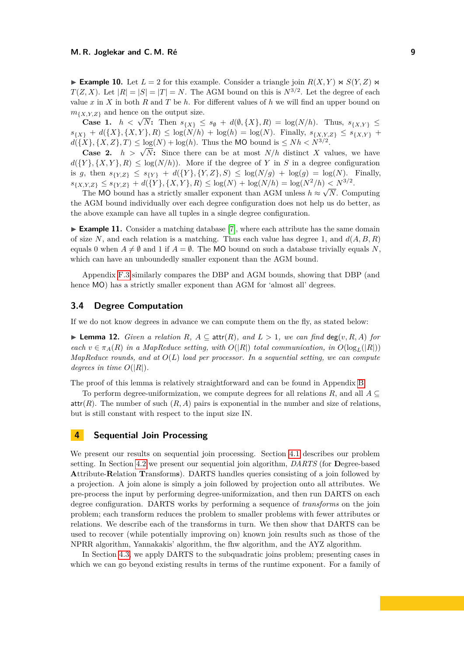**Example 10.** Let  $L = 2$  for this example. Consider a triangle join  $R(X, Y) \bowtie S(Y, Z)$ *T*(*Z, X*). Let  $|R| = |S| = |T| = N$ . The AGM bound on this is  $N^{3/2}$ . Let the degree of each value  $x$  in  $X$  in both  $R$  and  $T$  be  $h$ . For different values of  $h$  we will find an upper bound on  $m_{\{X,Y,Z\}}$  and hence on the output size.

**Case 1.**  $h < \sqrt{N}$ : Then  $s_{\{X\}} \leq s_{\emptyset} + d(\emptyset, \{X\}, R) = \log(N/h)$ . Thus,  $s_{\{X,Y\}} \leq$  $s_{\{X\}} + d(\{X\}, \{X, Y\}, R) \leq \log(N/h) + \log(h) = \log(N)$ . Finally,  $s_{\{X, Y, Z\}} \leq s_{\{X, Y\}} +$  $d({X}, {X}, {Z}, T) \leq \log(N) + \log(h)$ . Thus the MO bound is  $\leq Nh.$ 

**Case 2.**  $h > \sqrt{N}$ : Since there can be at most  $N/h$  distinct *X* values, we have  $d({Y}, {X}, Y, R) \leq \log(N/h)$ . More if the degree of *Y* in *S* in a degree configuration is *g*, then  $s_{\{Y,Z\}} \leq s_{\{Y\}} + d(\{Y\}, \{Y,Z\}, S) \leq \log(N/g) + \log(g) = \log(N)$ . Finally,  $s_{\{X,Y,Z\}} \leq s_{\{Y,Z\}} + d(\{Y\}, \{X,Y\}, R) \leq \log(N) + \log(N/h) = \log(N^2/h) \leq N^{3/2}.$ 

The MO bound has a strictly smaller exponent than AGM unless  $h \approx \sqrt{N}$ . Computing the AGM bound individually over each degree configuration does not help us do better, as the above example can have all tuples in a single degree configuration.

► **Example 11.** Consider a matching database [\[7\]](#page-16-14), where each attribute has the same domain of size *N*, and each relation is a matching. Thus each value has degree 1, and  $d(A, B, R)$ equals 0 when  $A \neq \emptyset$  and 1 if  $A = \emptyset$ . The MO bound on such a database trivially equals *N*. which can have an unboundedly smaller exponent than the AGM bound.

Appendix [F.3](#page-34-0) similarly compares the DBP and AGM bounds, showing that DBP (and hence  $MO$ ) has a strictly smaller exponent than AGM for 'almost all' degrees.

# <span id="page-8-1"></span>**3.4 Degree Computation**

If we do not know degrees in advance we can compute them on the fly, as stated below:

▶ **Lemma 12.** *Given a relation R*,  $A ⊆ \text{attr}(R)$ *, and*  $L > 1$ *, we can find* deg(*v, R, A*) *for each*  $v \in \pi_A(R)$  *in a MapReduce setting, with*  $O(|R|)$  *total communication, in*  $O(\log_L(|R|))$ *MapReduce rounds, and at O*(*L*) *load per processor. In a sequential setting, we can compute degrees in time*  $O(|R|)$ *.* 

The proof of this lemma is relatively straightforward and can be found in Appendix [B.](#page-19-1)

To perform degree-uniformization, we compute degrees for all relations *R*, and all *A* ⊆  $\text{attr}(R)$ . The number of such  $(R, A)$  pairs is exponential in the number and size of relations, but is still constant with respect to the input size IN.

# <span id="page-8-0"></span>**4 Sequential Join Processing**

We present our results on sequential join processing. Section [4.1](#page-9-0) describes our problem setting. In Section [4.2](#page-9-1) we present our sequential join algorithm, *DARTS* (for **D**egree-based **A**ttribute-**R**elation **T**ransform**s**). DARTS handles queries consisting of a join followed by a projection. A join alone is simply a join followed by projection onto all attributes. We pre-process the input by performing degree-uniformization, and then run DARTS on each degree configuration. DARTS works by performing a sequence of *transforms* on the join problem; each transform reduces the problem to smaller problems with fewer attributes or relations. We describe each of the transforms in turn. We then show that DARTS can be used to recover (while potentially improving on) known join results such as those of the NPRR algorithm, Yannakakis' algorithm, the fhw algorithm, and the AYZ algorithm.

In Section [4.3,](#page-12-0) we apply DARTS to the subquadratic joins problem; presenting cases in which we can go beyond existing results in terms of the runtime exponent. For a family of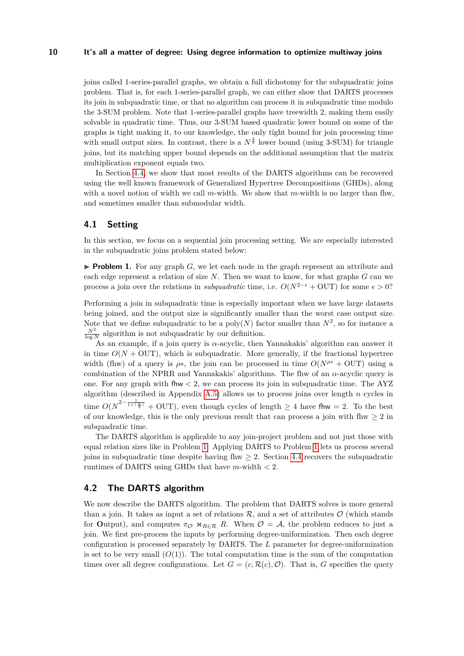joins called 1-series-parallel graphs, we obtain a full dichotomy for the subquadratic joins problem. That is, for each 1-series-parallel graph, we can either show that DARTS processes its join in subquadratic time, or that no algorithm can process it in subquadratic time modulo the 3-SUM problem. Note that 1-series-parallel graphs have treewidth 2, making them easily solvable in quadratic time. Thus, our 3-SUM based quadratic lower bound on some of the graphs is tight making it, to our knowledge, the only tight bound for join processing time with small output sizes. In contrast, there is a  $N^{\frac{4}{3}}$  lower bound (using 3-SUM) for triangle joins, but its matching upper bound depends on the additional assumption that the matrix multiplication exponent equals two.

In Section [4.4,](#page-13-2) we show that most results of the DARTS algorithms can be recovered using the well known framework of Generalized Hypertree Decompositions (GHDs), along with a novel notion of width we call *m*-width. We show that *m*-width is no larger than fhw, and sometimes smaller than submodular width.

# <span id="page-9-0"></span>**4.1 Setting**

In this section, we focus on a sequential join processing setting. We are especially interested in the subquadratic joins problem stated below:

<span id="page-9-2"></span>**Problem 1.** For any graph  $G$ , we let each node in the graph represent an attribute and each edge represent a relation of size *N*. Then we want to know, for what graphs *G* can we process a join over the relations in *subquadratic* time, i.e.  $O(N^{2-\epsilon} + 0UT)$  for some  $\epsilon > 0$ ?

Performing a join in subquadratic time is especially important when we have large datasets being joined, and the output size is significantly smaller than the worst case output size. Note that we define subquadratic to be a  $poly(N)$  factor smaller than  $N^2$ , so for instance a  $\frac{N^2}{\log N}$  algorithm is not subquadratic by our definition.

As an example, if a join query is *α*-acyclic, then Yannakakis' algorithm can answer it in time  $O(N + OUT)$ , which is subquadratic. More generally, if the fractional hypertree width (fhw) of a query is  $\rho$ <sup>\*</sup>, the join can be processed in time  $O(N^{\rho^*} + 0UT)$  using a combination of the NPRR and Yannakakis' algorithms. The fhw of an *α*-acyclic query is one. For any graph with fhw *<* 2, we can process its join in subquadratic time. The AYZ algorithm (described in Appendix [A.5\)](#page-18-0) allows us to process joins over length *n* cycles in time  $O(N^{2-\frac{1}{1+\lceil\frac{n}{2}\rceil}}+$  OUT), even though cycles of length  $\geq 4$  have fhw = 2. To the best of our knowledge, this is the only previous result that can process a join with fhw  $\geq 2$  in subquadratic time.

The DARTS algorithm is applicable to any join-project problem and not just those with equal relation sizes like in Problem [1.](#page-9-2) Applying DARTS to Problem [1](#page-9-2) lets us process several joins in subquadratic time despite having flow  $\geq 2$ . Section [4.4](#page-13-2) recovers the subquadratic runtimes of DARTS using GHDs that have *m*-width *<* 2.

### <span id="page-9-1"></span>**4.2 The DARTS algorithm**

We now describe the DARTS algorithm. The problem that DARTS solves is more general than a join. It takes as input a set of relations  $\mathcal{R}$ , and a set of attributes  $\mathcal{O}$  (which stands for **Output**), and computes  $\pi_{\mathcal{O}} \bowtie_{R \in \mathcal{R}} R$ . When  $\mathcal{O} = \mathcal{A}$ , the problem reduces to just a join. We first pre-process the inputs by performing degree-uniformization. Then each degree configuration is processed separately by DARTS. The *L* parameter for degree-uniformization is set to be very small  $(O(1))$ . The total computation time is the sum of the computation times over all degree configurations. Let  $G = (c, \mathcal{R}(c), \mathcal{O})$ . That is, *G* specifies the query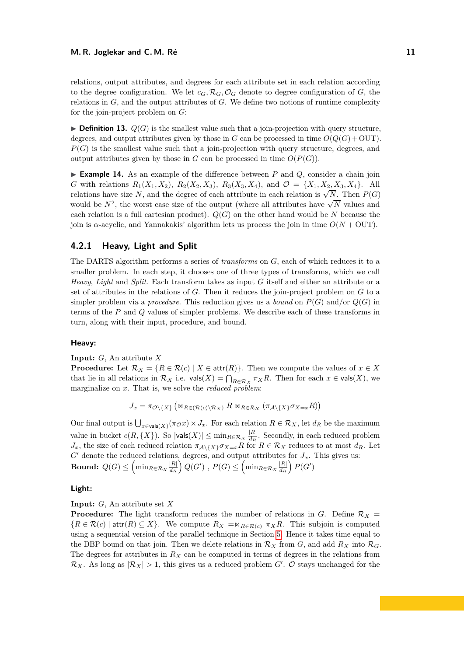relations, output attributes, and degrees for each attribute set in each relation according to the degree configuration. We let  $c_G$ ,  $\mathcal{R}_G$ ,  $\mathcal{O}_G$  denote to degree configuration of *G*, the relations in *G*, and the output attributes of *G*. We define two notions of runtime complexity for the join-project problem on *G*:

 $\blacktriangleright$  **Definition 13.**  $Q(G)$  is the smallest value such that a join-projection with query structure, degrees, and output attributes given by those in *G* can be processed in time  $O(Q(G) + \text{OUT})$ . *P*(*G*) is the smallest value such that a join-projection with query structure, degrees, and output attributes given by those in *G* can be processed in time  $O(P(G))$ .

**Example 14.** As an example of the difference between  $P$  and  $Q$ , consider a chain join *G* with relations  $R_1(X_1, X_2)$ ,  $R_2(X_2, X_3)$ ,  $R_3(X_3, X_4)$ , and  $\mathcal{O} = \{X_1, X_2, X_3, X_4\}$ . All  $R_1(A_1, A_2)$ ,  $R_2(A_2, A_3)$ ,  $R_3(A_3, A_4)$ , and  $C = \{A_1, A_2, A_3, A_4\}$ . All relations have size *N*, and the degree of each attribute in each relation is  $\sqrt{N}$ . Then  $P(G)$ relations have size *i*, and the degree of each attribute in each relation is  $\sqrt{N}$ . Then  $\Gamma(\mathbf{G})$  would be  $N^2$ , the worst case size of the output (where all attributes have  $\sqrt{N}$  values and each relation is a full cartesian product).  $Q(G)$  on the other hand would be N because the join is *α*-acyclic, and Yannakakis' algorithm lets us process the join in time *O*(*N* + OUT).

# **4.2.1 Heavy, Light and Split**

The DARTS algorithm performs a series of *transforms* on *G*, each of which reduces it to a smaller problem. In each step, it chooses one of three types of transforms, which we call *Heavy*, *Light* and *Split*. Each transform takes as input *G* itself and either an attribute or a set of attributes in the relations of *G*. Then it reduces the join-project problem on *G* to a simpler problem via a *procedure*. This reduction gives us a *bound* on  $P(G)$  and/or  $Q(G)$  in terms of the *P* and *Q* values of simpler problems. We describe each of these transforms in turn, along with their input, procedure, and bound.

#### **Heavy:**

#### **Input:** *G*, An attribute *X*

**Procedure:** Let  $\mathcal{R}_X = \{R \in \mathcal{R}(c) \mid X \in \text{attr}(R)\}\)$ . Then we compute the values of  $x \in X$ that lie in all relations in  $\mathcal{R}_X$  i.e.  $\mathsf{vals}(X) = \bigcap_{R \in \mathcal{R}_X} \pi_X R$ . Then for each  $x \in \mathsf{vals}(X)$ , we marginalize on *x*. That is, we solve the *reduced problem*:

$$
J_x = \pi_{\mathcal{O}\backslash\{X\}}\left(\otimes_{R\in(\mathcal{R}(c)\backslash\mathcal{R}_X)} R \otimes_{R\in\mathcal{R}_X} (\pi_{\mathcal{A}\backslash\{X\}}\sigma_{X=x}R)\right)
$$

Our final output is  $\bigcup_{x \in \text{vals}(X)} (\pi \circ x) \times J_x$ . For each relation  $R \in \mathcal{R}_X$ , let  $d_R$  be the maximum value in bucket  $c(R, \{X\})$ . So  $|\text{vals}(X)| \le \min_{R \in \mathcal{R}_X} \frac{|R|}{d_R}$  $\frac{|R|}{dR}$ . Secondly, in each reduced problem *J<sub>x</sub>*, the size of each reduced relation  $\pi_{\mathcal{A}\setminus\{X\}}\sigma_{X=x}R$  for  $R \in \mathcal{R}_X$  reduces to at most  $d_R$ . Let  $G'$  denote the reduced relations, degrees, and output attributes for  $J_x$ . This gives us:  $\textbf{Bound: } Q(G) \leq \left( \min_{R \in \mathcal{R}_X} \frac{|R|}{d_R} \right)$  $\left(\frac{|R|}{d_R}\right)Q(G')$  ,  $P(G)\leq \left(\min_{R\in \mathcal{R}_X} \frac{|R|}{d_R}\right)$  $\frac{|R|}{d_R}$   $\Big)$   $P(G')$ 

#### **Light:**

**Input:** *G*, An attribute set *X*

**Procedure:** The light transform reduces the number of relations in *G*. Define  $\mathcal{R}_X$  =  ${R \in \mathcal{R}(c) \mid \text{attr}(R) \subseteq X}$ . We compute  $R_X = \mathbb{N}_{R \in \mathcal{R}(c)} \pi_X R$ . This subjoin is computed using a sequential version of the parallel technique in Section [5.](#page-13-0) Hence it takes time equal to the DBP bound on that join. Then we delete relations in  $\mathcal{R}_X$  from  $G$ , and add  $R_X$  into  $\mathcal{R}_G$ . The degrees for attributes in *R<sup>X</sup>* can be computed in terms of degrees in the relations from  $\mathcal{R}_X$ . As long as  $|\mathcal{R}_X| > 1$ , this gives us a reduced problem *G'*. *O* stays unchanged for the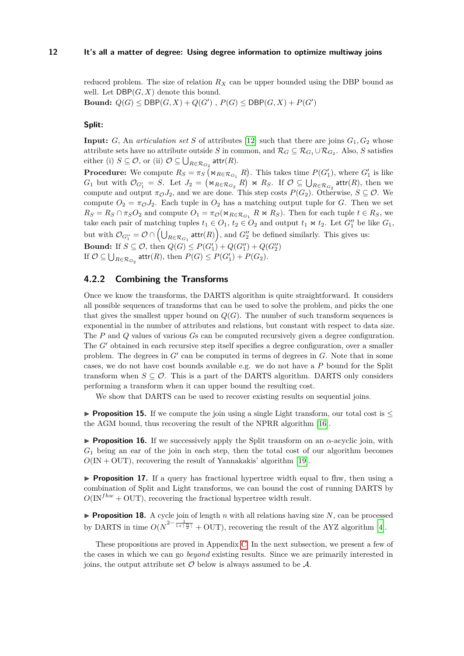reduced problem. The size of relation *R<sup>X</sup>* can be upper bounded using the DBP bound as well. Let DBP(*G, X*) denote this bound.

**Bound:**  $Q(G) \leq \mathsf{DBP}(G,X) + Q(G')$ ,  $P(G) \leq \mathsf{DBP}(G,X) + P(G')$ 

# **Split:**

**Input:** *G*, An *articulation set S* of attributes [\[12\]](#page-16-17) such that there are joins  $G_1, G_2$  whose attribute sets have no attribute outside *S* in common, and  $\mathcal{R}_G \subseteq \mathcal{R}_{G_1} \cup \mathcal{R}_{G_2}$ . Also, *S* satisfies  $\text{either (i) } S \subseteq \mathcal{O}, \text{ or (ii) } \mathcal{O} \subseteq \bigcup_{R \in \mathcal{R}_{G_2}} \text{attr}(R).$ 

**Procedure:** We compute  $R_S = \pi_S \left( \Join_{R \in \mathcal{R}_{G_1}} R \right)$ . This takes time  $P(G'_1)$ , where  $G'_1$  is like  $G_1$  but with  $\mathcal{O}_{G_1'} = S$ . Let  $J_2 = (\Join_{R \in \mathcal{R}_{G_2}} R) \Join R_S$ . If  $\mathcal{O} \subseteq \bigcup_{R \in \mathcal{R}_{G_2}} \text{attr}(R)$ , then we compute and output  $\pi \circ J_2$ , and we are done. This step costs  $P(G_2)$ . Otherwise,  $S \subseteq \mathcal{O}$ . We compute  $O_2 = \pi_O J_2$ . Each tuple in  $O_2$  has a matching output tuple for *G*. Then we set  $R_S = R_S \cap \pi_S O_2$  and compute  $O_1 = \pi_O(\Join_{R \in \mathcal{R}_{G_1}} R \Join R_S)$ . Then for each tuple  $t \in R_S$ , we take each pair of matching tuples  $t_1 \in O_1$ ,  $t_2 \in O_2$  and output  $t_1 \Join t_2$ . Let  $G''_1$  be like  $G_1$ , but with  $\mathcal{O}_{G_1''} = \mathcal{O} \cap (\bigcup_{R \in \mathcal{R}_{G_1}} \text{attr}(R))$ , and  $G_2''$  be defined similarly. This gives us: **Bound:** If  $S \subseteq \mathcal{O}$ , then  $Q(G) \leq P(G'_1) + Q(G''_1) + Q(G''_2)$ If  $\mathcal{O} \subseteq \bigcup_{R \in \mathcal{R}_{G_2}} \mathsf{attr}(R)$ , then  $P(G) \leq P(G'_1) + P(G_2)$ .

# **4.2.2 Combining the Transforms**

Once we know the transforms, the DARTS algorithm is quite straightforward. It considers all possible sequences of transforms that can be used to solve the problem, and picks the one that gives the smallest upper bound on  $Q(G)$ . The number of such transform sequences is exponential in the number of attributes and relations, but constant with respect to data size. The *P* and *Q* values of various *G*s can be computed recursively given a degree configuration. The *G*<sup> $\prime$ </sup> obtained in each recursive step itself specifies a degree configuration, over a smaller problem. The degrees in  $G'$  can be computed in terms of degrees in  $G$ . Note that in some cases, we do not have cost bounds available e.g. we do not have a *P* bound for the Split transform when  $S \subseteq \mathcal{O}$ . This is a part of the DARTS algorithm. DARTS only considers performing a transform when it can upper bound the resulting cost.

We show that DARTS can be used to recover existing results on sequential joins.

<span id="page-11-0"></span>**Proposition 15.** If we compute the join using a single Light transform, our total cost is  $\leq$ the AGM bound, thus recovering the result of the NPRR algorithm [\[16\]](#page-16-0).

<span id="page-11-1"></span>I **Proposition 16.** If we successively apply the Split transform on an *α*-acyclic join, with *G*<sup>1</sup> being an ear of the join in each step, then the total cost of our algorithm becomes  $O(\text{IN} + \text{OUT})$ , recovering the result of Yannakakis' algorithm [\[19\]](#page-16-8).

<span id="page-11-2"></span>**Proposition 17.** If a query has fractional hypertree width equal to flux, then using a combination of Split and Light transforms, we can bound the cost of running DARTS by  $O(\text{IN}^{fhw} + \text{OUT})$ , recovering the fractional hypertree width result.

<span id="page-11-3"></span>**Proposition 18.** A cycle join of length  $n$  with all relations having size  $N$ , can be processed by DARTS in time  $O(N^{2-\frac{1}{1+\lceil\frac{n}{2}\rceil}} + \text{OUT})$ , recovering the result of the AYZ algorithm [\[4\]](#page-16-10).

These propositions are proved in Appendix [C.](#page-20-0) In the next subsection, we present a few of the cases in which we can go *beyond* existing results. Since we are primarily interested in joins, the output attribute set  $\mathcal O$  below is always assumed to be  $\mathcal A$ .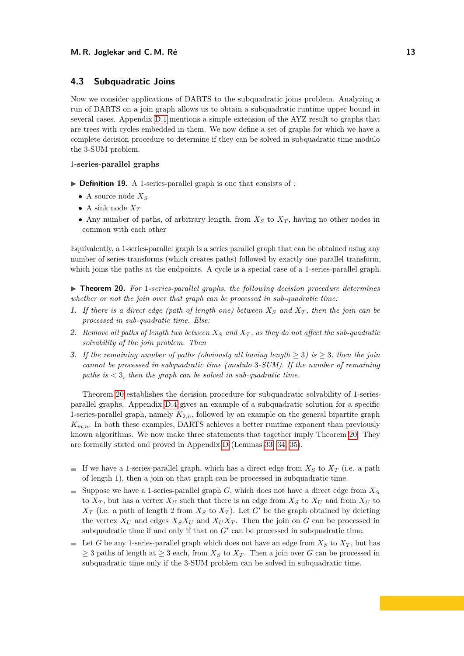## <span id="page-12-0"></span>**4.3 Subquadratic Joins**

Now we consider applications of DARTS to the subquadratic joins problem. Analyzing a run of DARTS on a join graph allows us to obtain a subquadratic runtime upper bound in several cases. Appendix [D.1](#page-9-0) mentions a simple extension of the AYZ result to graphs that are trees with cycles embedded in them. We now define a set of graphs for which we have a complete decision procedure to determine if they can be solved in subquadratic time modulo the 3-SUM problem.

### 1**-series-parallel graphs**

- ▶ **Definition 19.** A 1-series-parallel graph is one that consists of :
	- A source node *X<sup>S</sup>*
	- A sink node  $X_T$
	- Any number of paths, of arbitrary length, from  $X<sub>S</sub>$  to  $X<sub>T</sub>$ , having no other nodes in common with each other

Equivalently, a 1-series-parallel graph is a series parallel graph that can be obtained using any number of series transforms (which creates paths) followed by exactly one parallel transform, which joins the paths at the endpoints. A cycle is a special case of a 1-series-parallel graph.

<span id="page-12-1"></span>I **Theorem 20.** *For* 1*-series-parallel graphs, the following decision procedure determines whether or not the join over that graph can be processed in sub-quadratic time:*

- **1.** If there is a direct edge (path of length one) between  $X_S$  and  $X_T$ , then the join can be *processed in sub-quadratic time. Else:*
- **2.** *Remove all paths of length two between X<sup>S</sup> and X<sup>T</sup> , as they do not affect the sub-quadratic solvability of the join problem. Then*
- **3.** If the remaining number of paths (obviously all having length  $\geq 3$ ) is  $\geq 3$ , then the join *cannot be processed in subquadratic time (modulo* 3*-SUM). If the number of remaining paths is <* 3*, then the graph can be solved in sub-quadratic time.*

Theorem [20](#page-12-1) establishes the decision procedure for subquadratic solvability of 1-seriesparallel graphs. Appendix [D.4](#page-13-2) gives an example of a subquadratic solution for a specific 1-series-parallel graph, namely  $K_{2,n}$ , followed by an example on the general bipartite graph  $K_{m,n}$ . In both these examples, DARTS achieves a better runtime exponent than previously known algorithms. We now make three statements that together imply Theorem [20.](#page-12-1) They are formally stated and proved in Appendix [D](#page-21-0) (Lemmas [33,](#page-22-0) [34,](#page-22-1) [35\)](#page-23-0).

- If we have a 1-series-parallel graph, which has a direct edge from  $X<sub>S</sub>$  to  $X<sub>T</sub>$  (i.e. a path of length 1), then a join on that graph can be processed in subquadratic time.
- Suppose we have a 1-series-parallel graph *G*, which does not have a direct edge from  $X<sub>S</sub>$ to  $X_T$ , but has a vertex  $X_U$  such that there is an edge from  $X_S$  to  $X_U$  and from  $X_U$  to  $X_T$  (i.e. a path of length 2 from  $X_S$  to  $X_T$ ). Let *G*<sup> $\prime$ </sup> be the graph obtained by deleting the vertex  $X_U$  and edges  $X_S X_U$  and  $X_U X_T$ . Then the join on *G* can be processed in subquadratic time if and only if that on  $G'$  can be processed in subquadratic time.
- $\blacksquare$  Let *G* be any 1-series-parallel graph which does not have an edge from  $X_S$  to  $X_T$ , but has  $\geq$  3 paths of length at  $\geq$  3 each, from  $X_S$  to  $X_T$ . Then a join over G can be processed in subquadratic time only if the 3-SUM problem can be solved in subquadratic time.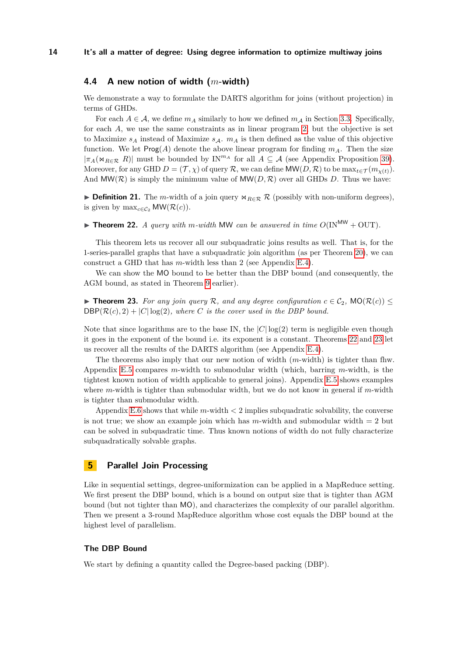# <span id="page-13-2"></span>**4.4 A new notion of width (***m***-width)**

We demonstrate a way to formulate the DARTS algorithm for joins (without projection) in terms of GHDs.

For each  $A \in \mathcal{A}$ , we define  $m_A$  similarly to how we defined  $m_A$  in Section [3.3.](#page-7-0) Specifically, for each *A*, we use the same constraints as in linear program [2,](#page-7-1) but the objective is set to Maximize  $s_A$  instead of Maximize  $s_A$ .  $m_A$  is then defined as the value of this objective function. We let  $\text{Prog}(A)$  denote the above linear program for finding  $m_A$ . Then the size  $|\pi_A(\Join_{R\in\mathcal{R}} R)|$  must be bounded by IN<sup>*mA*</sup> for all  $A\subseteq\mathcal{A}$  (see Appendix Proposition [39\)](#page-26-1). Moreover, for any GHD  $D = (T, \chi)$  of query R, we can define MW(D, R) to be  $\max_{t \in \mathcal{T}} (m_{\chi(t)})$ . And  $MW(\mathcal{R})$  is simply the minimum value of  $MW(D, \mathcal{R})$  over all GHDs *D*. Thus we have:

**► Definition 21.** The *m*-width of a join query  $\Join_{R \in \mathcal{R}} \mathcal{R}$  (possibly with non-uniform degrees), is given by  $\max_{c \in \mathcal{C}_2} \mathsf{MW}(\mathcal{R}(c)).$ 

<span id="page-13-3"></span>**Find 12.** *A query with*  $m$ *-width* MW *can be answered in time*  $O(\text{IN}^{MW} + \text{OUT})$ *.* 

This theorem lets us recover all our subquadratic joins results as well. That is, for the 1-series-parallel graphs that have a subquadratic join algorithm (as per Theorem [20\)](#page-12-1), we can construct a GHD that has *m*-width less than 2 (see Appendix [E.4\)](#page-27-0).

We can show the MO bound to be better than the DBP bound (and consequently, the AGM bound, as stated in Theorem [9](#page-7-2) earlier).

<span id="page-13-1"></span>▶ **Theorem 23.** For any join query R, and any degree configuration  $c \in C_2$ , MO( $\mathcal{R}(c)$ ) ≤  $DBP(\mathcal{R}(c), 2) + |C| \log(2)$ *, where C is the cover used in the DBP bound.* 

Note that since logarithms are to the base IN, the  $|C|\log(2)$  term is negligible even though it goes in the exponent of the bound i.e. its exponent is a constant. Theorems [22](#page-13-3) and [23](#page-13-1) let us recover all the results of the DARTS algorithm (see Appendix [E.4\)](#page-27-0).

The theorems also imply that our new notion of width (*m*-width) is tighter than fhw. Appendix [E.5](#page-29-0) compares *m*-width to submodular width (which, barring *m*-width, is the tightest known notion of width applicable to general joins). Appendix [E.5](#page-29-0) shows examples where *m*-width is tighter than submodular width, but we do not know in general if *m*-width is tighter than submodular width.

Appendix [E.6](#page-30-0) shows that while *m*-width *<* 2 implies subquadratic solvability, the converse is not true; we show an example join which has  $m$ -width and submodular width  $= 2$  but can be solved in subquadratic time. Thus known notions of width do not fully characterize subquadratically solvable graphs.

# <span id="page-13-0"></span>**5 Parallel Join Processing**

Like in sequential settings, degree-uniformization can be applied in a MapReduce setting. We first present the DBP bound, which is a bound on output size that is tighter than AGM bound (but not tighter than MO), and characterizes the complexity of our parallel algorithm. Then we present a 3-round MapReduce algorithm whose cost equals the DBP bound at the highest level of parallelism.

### **The DBP Bound**

We start by defining a quantity called the Degree-based packing (DBP).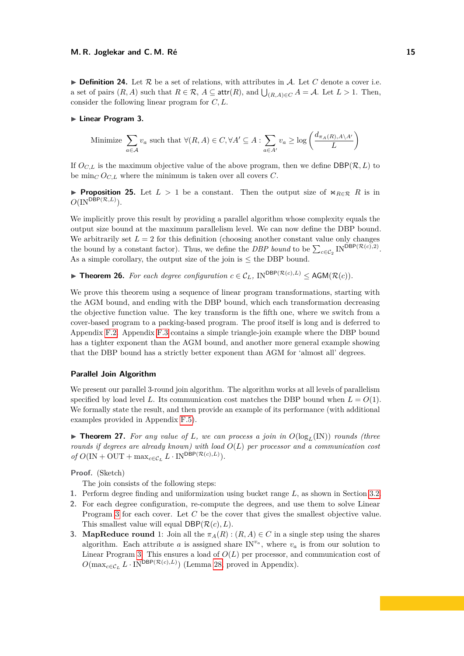$\triangleright$  **Definition 24.** Let  $\mathcal{R}$  be a set of relations, with attributes in  $\mathcal{A}$ . Let C denote a cover i.e. a set of pairs  $(R, A)$  such that  $R \in \mathcal{R}$ ,  $A \subseteq \text{attr}(R)$ , and  $\bigcup_{(R, A) \in C} A = A$ . Let  $L > 1$ . Then, consider the following linear program for *C, L*.

#### <span id="page-14-1"></span>**Example 2.** Linear Program 3.

Minimize 
$$
\sum_{a \in A} v_a
$$
 such that  $\forall (R, A) \in C, \forall A' \subseteq A : \sum_{a \in A'} v_a \ge \log \left( \frac{d_{\pi_A(R), A \setminus A'}}{L} \right)$ 

If  $O_{C,L}$  is the maximum objective value of the above program, then we define  $DBP(\mathcal{R}, L)$  to be  $\min_C O_{C,L}$  where the minimum is taken over all covers *C*.

**Proposition 25.** Let  $L > 1$  be a constant. Then the output size of  $\Join_{R \in \mathcal{R}} R$  is in  $O(N^{\mathsf{DBP}(\mathcal{R},L)}).$ 

We implicitly prove this result by providing a parallel algorithm whose complexity equals the output size bound at the maximum parallelism level. We can now define the DBP bound. We arbitrarily set  $L = 2$  for this definition (choosing another constant value only changes the bound by a constant factor). Thus, we define the *DBP bound* to be  $\sum_{c \in C_2} \text{IN}^{\text{DBP}(\mathcal{R}(c),2)}$ . As a simple corollary, the output size of the join is  $\leq$  the DBP bound.

<span id="page-14-0"></span>▶ **Theorem 26.** *For each degree configuration*  $c \in C_L$ *,* IN<sup>DBP( $\mathcal{R}(c,L)$ ) ≤ AGM( $\mathcal{R}(c)$ ).</sup>

We prove this theorem using a sequence of linear program transformations, starting with the AGM bound, and ending with the DBP bound, which each transformation decreasing the objective function value. The key transform is the fifth one, where we switch from a cover-based program to a packing-based program. The proof itself is long and is deferred to Appendix [F.2.](#page-32-0) Appendix [F.3](#page-34-0) contains a simple triangle-join example where the DBP bound has a tighter exponent than the AGM bound, and another more general example showing that the DBP bound has a strictly better exponent than AGM for 'almost all' degrees.

### **Parallel Join Algorithm**

We present our parallel 3-round join algorithm. The algorithm works at all levels of parallelism specified by load level L. Its communication cost matches the DBP bound when  $L = O(1)$ . We formally state the result, and then provide an example of its performance (with additional examples provided in Appendix [F.5\)](#page-36-1).

 $\triangleright$  **Theorem 27.** For any value of L, we can process a join in  $O(log_L(\text{IN}))$  rounds (three *rounds if degrees are already known) with load O*(*L*) *per processor and a communication cost*  $of O(\text{IN} + \text{OUT} + \max_{c \in C_L} L \cdot \text{IN}^{\text{DBP}(\mathcal{R}(c), L)})$ .

**Proof.** (Sketch)

The join consists of the following steps:

- **1.** Perform degree finding and uniformization using bucket range *L*, as shown in Section [3.2.](#page-5-2)
- **2.** For each degree configuration, re-compute the degrees, and use them to solve Linear Program [3](#page-14-1) for each cover. Let *C* be the cover that gives the smallest objective value. This smallest value will equal  $DBP(\mathcal{R}(c), L)$ .
- **3. MapReduce round** 1: Join all the  $\pi_A(R)$  :  $(R, A) \in C$  in a single step using the shares algorithm. Each attribute *a* is assigned share  $IN^{v_a}$ , where  $v_a$  is from our solution to Linear Program [3.](#page-14-1) This ensures a load of  $O(L)$  per processor, and communication cost of  $O(\max_{c \in \mathcal{C}_L} L \cdot \text{IN}^{\text{DBP}(\mathcal{R}(c), L)})$  (Lemma [28,](#page-15-0) proved in Appendix).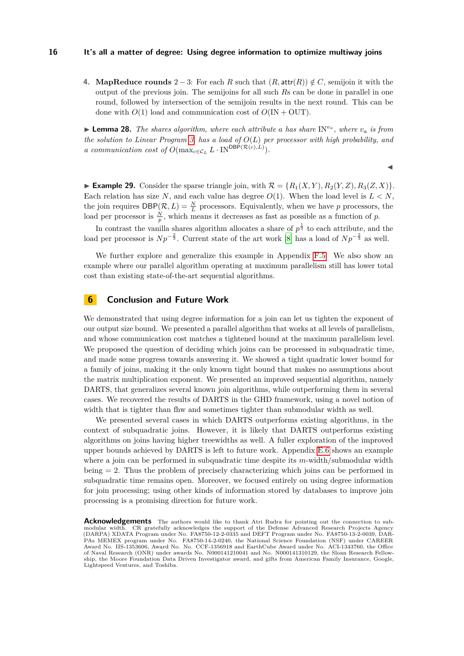**4. MapReduce rounds**  $2 - 3$ : For each *R* such that  $(R, \text{attr}(R)) \notin C$ , semijoin it with the output of the previous join. The semijoins for all such *R*s can be done in parallel in one round, followed by intersection of the semijoin results in the next round. This can be done with  $O(1)$  load and communication cost of  $O(\text{IN} + \text{OUT})$ .

<span id="page-15-0"></span>**Example 28.** *The shares algorithm, where each attribute a has share*  $IN^{v_a}$ *, where*  $v_a$  *is from the solution to Linear Program [3,](#page-14-1) has a load of O*(*L*) *per processor with high probability, and a communication cost of*  $O(\max_{c \in C_L} L \cdot \text{IN}^{\text{DBP}(\mathcal{R}(c),L)})$ .

 $\blacktriangleleft$ 

**Example 29.** Consider the sparse triangle join, with  $\mathcal{R} = \{R_1(X, Y), R_2(Y, Z), R_3(Z, X)\}\$ . Each relation has size N, and each value has degree  $O(1)$ . When the load level is  $L < N$ , the join requires  $DBP(\mathcal{R}, L) = \frac{N}{L}$  processors. Equivalently, when we have *p* processors, the load per processor is  $\frac{N}{p}$ , which means it decreases as fast as possible as a function of *p*.

In contrast the vanilla shares algorithm allocates a share of  $p^{\frac{1}{3}}$  to each attribute, and the load per processor is  $Np^{-\frac{2}{3}}$ . Current state of the art work [\[8\]](#page-16-6) has a load of  $Np^{-\frac{2}{3}}$  as well.

We further explore and generalize this example in Appendix [F.5.](#page-36-1) We also show an example where our parallel algorithm operating at maximum parallelism still has lower total cost than existing state-of-the-art sequential algorithms.

# **6 Conclusion and Future Work**

We demonstrated that using degree information for a join can let us tighten the exponent of our output size bound. We presented a parallel algorithm that works at all levels of parallelism, and whose communication cost matches a tightened bound at the maximum parallelism level. We proposed the question of deciding which joins can be processed in subquadratic time, and made some progress towards answering it. We showed a tight quadratic lower bound for a family of joins, making it the only known tight bound that makes no assumptions about the matrix multiplication exponent. We presented an improved sequential algorithm, namely DARTS, that generalizes several known join algorithms, while outperforming them in several cases. We recovered the results of DARTS in the GHD framework, using a novel notion of width that is tighter than fhw and sometimes tighter than submodular width as well.

We presented several cases in which DARTS outperforms existing algorithms, in the context of subquadratic joins. However, it is likely that DARTS outperforms existing algorithms on joins having higher treewidths as well. A fuller exploration of the improved upper bounds achieved by DARTS is left to future work. Appendix [E.6](#page-30-0) shows an example where a join can be performed in subquadratic time despite its *m*-width/submodular width being = 2. Thus the problem of precisely characterizing which joins can be performed in subquadratic time remains open. Moreover, we focused entirely on using degree information for join processing; using other kinds of information stored by databases to improve join processing is a promising direction for future work.

**Acknowledgements** The authors would like to thank Atri Rudra for pointing out the connection to submodular width. CR gratefully acknowledges the support of the Defense Advanced Research Projects Agency (DARPA) XDATA Program under No. FA8750-12-2-0335 and DEFT Program under No. FA8750-13-2-0039, DAR-PAs MEMEX program under No. FA8750-14-2-0240, the National Science Foundation (NSF) under CAREER Award No. IIS-1353606, Award No. No. CCF-1356918 and EarthCube Award under No. ACI-1343760, the Office of Naval Research (ONR) under awards No. N000141210041 and No. N000141310129, the Sloan Research Fellowship, the Moore Foundation Data Driven Investigator award, and gifts from American Family Insurance, Google, Lightspeed Ventures, and Toshiba.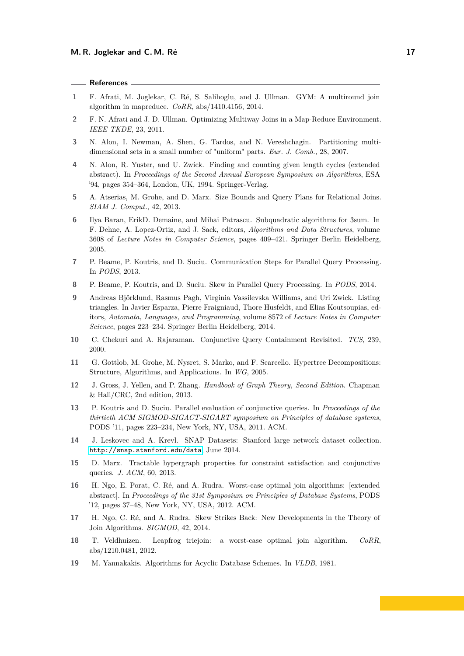#### **References**

- <span id="page-16-15"></span>**1** F. Afrati, M. Joglekar, C. Ré, S. Salihoglu, and J. Ullman. GYM: A multiround join algorithm in mapreduce. *CoRR*, abs/1410.4156, 2014.
- <span id="page-16-3"></span>**2** F. N. Afrati and J. D. Ullman. Optimizing Multiway Joins in a Map-Reduce Environment. *IEEE TKDE*, 23, 2011.
- <span id="page-16-16"></span>**3** N. Alon, I. Newman, A. Shen, G. Tardos, and N. Vereshchagin. Partitioning multidimensional sets in a small number of "uniform" parts. *Eur. J. Comb.*, 28, 2007.
- <span id="page-16-10"></span>**4** N. Alon, R. Yuster, and U. Zwick. Finding and counting given length cycles (extended abstract). In *Proceedings of the Second Annual European Symposium on Algorithms*, ESA '94, pages 354–364, London, UK, 1994. Springer-Verlag.
- <span id="page-16-5"></span>**5** A. Atserias, M. Grohe, and D. Marx. Size Bounds and Query Plans for Relational Joins. *SIAM J. Comput.*, 42, 2013.
- <span id="page-16-11"></span>**6** Ilya Baran, ErikD. Demaine, and Mihai Patrascu. Subquadratic algorithms for 3sum. In F. Dehne, A. Lopez-Ortiz, and J. Sack, editors, *Algorithms and Data Structures*, volume 3608 of *Lecture Notes in Computer Science*, pages 409–421. Springer Berlin Heidelberg, 2005.
- <span id="page-16-14"></span>**7** P. Beame, P. Koutris, and D. Suciu. Communication Steps for Parallel Query Processing. In *PODS*, 2013.
- <span id="page-16-6"></span>**8** P. Beame, P. Koutris, and D. Suciu. Skew in Parallel Query Processing. In *PODS*, 2014.
- <span id="page-16-18"></span>**9** Andreas Björklund, Rasmus Pagh, Virginia Vassilevska Williams, and Uri Zwick. Listing triangles. In Javier Esparza, Pierre Fraigniaud, Thore Husfeldt, and Elias Koutsoupias, editors, *Automata, Languages, and Programming*, volume 8572 of *Lecture Notes in Computer Science*, pages 223–234. Springer Berlin Heidelberg, 2014.
- <span id="page-16-13"></span>**10** C. Chekuri and A. Rajaraman. Conjunctive Query Containment Revisited. *TCS*, 239, 2000.
- <span id="page-16-9"></span>**11** G. Gottlob, M. Grohe, M. Nysret, S. Marko, and F. Scarcello. Hypertree Decompositions: Structure, Algorithms, and Applications. In *WG*, 2005.
- <span id="page-16-17"></span>**12** J. Gross, J. Yellen, and P. Zhang. *Handbook of Graph Theory, Second Edition*. Chapman & Hall/CRC, 2nd edition, 2013.
- <span id="page-16-4"></span>**13** P. Koutris and D. Suciu. Parallel evaluation of conjunctive queries. In *Proceedings of the thirtieth ACM SIGMOD-SIGACT-SIGART symposium on Principles of database systems*, PODS '11, pages 223–234, New York, NY, USA, 2011. ACM.
- <span id="page-16-7"></span>**14** J. Leskovec and A. Krevl. SNAP Datasets: Stanford large network dataset collection. <http://snap.stanford.edu/data>, June 2014.
- <span id="page-16-12"></span>**15** D. Marx. Tractable hypergraph properties for constraint satisfaction and conjunctive queries. *J. ACM*, 60, 2013.
- <span id="page-16-0"></span>**16** H. Ngo, E. Porat, C. Ré, and A. Rudra. Worst-case optimal join algorithms: [extended abstract]. In *Proceedings of the 31st Symposium on Principles of Database Systems*, PODS '12, pages 37–48, New York, NY, USA, 2012. ACM.
- <span id="page-16-1"></span>**17** H. Ngo, C. Ré, and A. Rudra. Skew Strikes Back: New Developments in the Theory of Join Algorithms. *SIGMOD*, 42, 2014.
- <span id="page-16-2"></span>**18** T. Veldhuizen. Leapfrog triejoin: a worst-case optimal join algorithm. *CoRR*, abs/1210.0481, 2012.
- <span id="page-16-8"></span>**19** M. Yannakakis. Algorithms for Acyclic Database Schemes. In *VLDB*, 1981.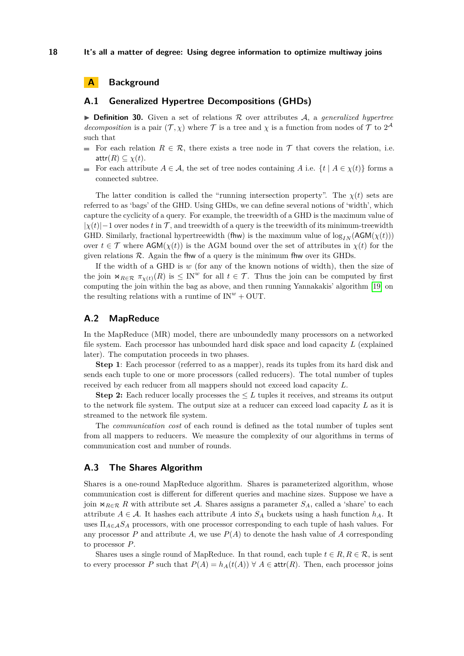# **A Background**

### **A.1 Generalized Hypertree Decompositions (GHDs)**

 $\triangleright$  **Definition 30.** Given a set of relations R over attributes A, a *generalized hypertree decomposition* is a pair  $(\mathcal{T}, \chi)$  where  $\mathcal T$  is a tree and  $\chi$  is a function from nodes of  $\mathcal T$  to  $2^{\mathcal A}$ such that

- For each relation  $R \in \mathcal{R}$ , there exists a tree node in  $\mathcal T$  that covers the relation, i.e. attr $(R) \subseteq \chi(t)$ .
- For each attribute  $A \in \mathcal{A}$ , the set of tree nodes containing A i.e.  $\{t \mid A \in \chi(t)\}$  forms a m. connected subtree.

The latter condition is called the "running intersection property". The  $\chi(t)$  sets are referred to as 'bags' of the GHD. Using GHDs, we can define several notions of 'width', which capture the cyclicity of a query. For example, the treewidth of a GHD is the maximum value of  $|\chi(t)|-1$  over nodes *t* in T, and treewidth of a query is the treewidth of its minimum-treewidth GHD. Similarly, fractional hypertreewidth (fhw) is the maximum value of  $\log_{IN}(\text{AGM}(\chi(t)))$ over  $t \in \mathcal{T}$  where  $\text{AGM}(\chi(t))$  is the AGM bound over the set of attributes in  $\chi(t)$  for the given relations  $R$ . Again the fluw of a query is the minimum fluw over its GHDs.

If the width of a GHD is *w* (for any of the known notions of width), then the size of the join  $\forall R \in \mathcal{R}$   $\pi_{\chi(t)}(R)$  is  $\leq \text{IN}^w$  for all  $t \in \mathcal{T}$ . Thus the join can be computed by first computing the join within the bag as above, and then running Yannakakis' algorithm [\[19\]](#page-16-8) on the resulting relations with a runtime of  $IN^w + OUT$ .

### <span id="page-17-0"></span>**A.2 MapReduce**

In the MapReduce (MR) model, there are unboundedly many processors on a networked file system. Each processor has unbounded hard disk space and load capacity *L* (explained later). The computation proceeds in two phases.

**Step 1**: Each processor (referred to as a mapper), reads its tuples from its hard disk and sends each tuple to one or more processors (called reducers). The total number of tuples received by each reducer from all mappers should not exceed load capacity *L*.

**Step 2:** Each reducer locally processes the  $\leq L$  tuples it receives, and streams its output to the network file system. The output size at a reducer can exceed load capacity *L* as it is streamed to the network file system.

The *communication cost* of each round is defined as the total number of tuples sent from all mappers to reducers. We measure the complexity of our algorithms in terms of communication cost and number of rounds.

### <span id="page-17-1"></span>**A.3 The Shares Algorithm**

Shares is a one-round MapReduce algorithm. Shares is parameterized algorithm, whose communication cost is different for different queries and machine sizes. Suppose we have a join  $\bowtie_{R\in\mathcal{R}} R$  with attribute set A. Shares assigns a parameter  $S_A$ , called a 'share' to each attribute  $A \in \mathcal{A}$ . It hashes each attribute  $A$  into  $S_A$  buckets using a hash function  $h_A$ . It uses  $\Pi_{A \in \mathcal{A}} S_A$  processors, with one processor corresponding to each tuple of hash values. For any processor  $P$  and attribute  $A$ , we use  $P(A)$  to denote the hash value of  $A$  corresponding to processor *P*.

Shares uses a single round of MapReduce. In that round, each tuple  $t \in R$ ,  $R \in \mathcal{R}$ , is sent to every processor *P* such that  $P(A) = h_A(t(A)) \forall A \in \text{attr}(R)$ . Then, each processor joins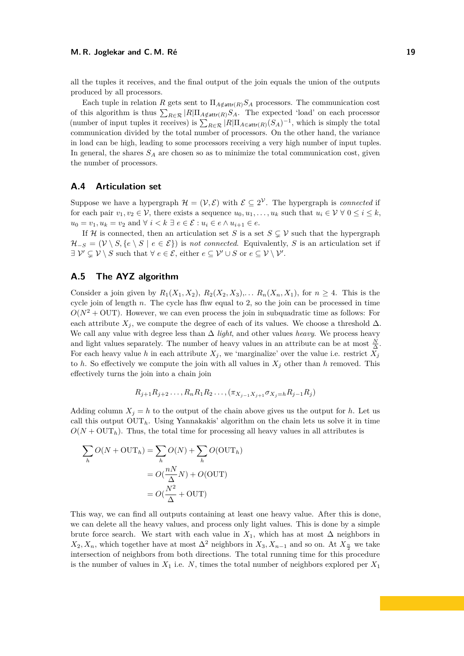all the tuples it receives, and the final output of the join equals the union of the outputs produced by all processors.

Each tuple in relation *R* gets sent to  $\Pi_{A \notin \text{attr}(R)} S_A$  processors. The communication cost of this algorithm is thus  $\sum_{R \in \mathcal{R}} |R| \Pi_{A \notin \text{attr}(R)} S_A$ . The expected 'load' on each processor (number of input tuples it receives) is  $\sum_{R \in \mathcal{R}} |R| \Pi_{A \in \text{attr}(R)}(S_A)^{-1}$ , which is simply the total communication divided by the total number of processors. On the other hand, the variance in load can be high, leading to some processors receiving a very high number of input tuples. In general, the shares *S<sup>A</sup>* are chosen so as to minimize the total communication cost, given the number of processors.

# **A.4 Articulation set**

Suppose we have a hypergraph  $\mathcal{H} = (\mathcal{V}, \mathcal{E})$  with  $\mathcal{E} \subseteq 2^{\mathcal{V}}$ . The hypergraph is *connected* if for each pair  $v_1, v_2 \in \mathcal{V}$ , there exists a sequence  $u_0, u_1, \ldots, u_k$  such that  $u_i \in \mathcal{V} \ \forall \ 0 \leq i \leq k$ , *u*<sub>0</sub> = *v*<sub>1</sub>*, u<sub>k</sub>* = *v*<sub>2</sub> and ∀ *i* < *k* ∃ *e* ∈  $\mathcal{E}$  : *u<sub>i</sub>* ∈ *e* ∧ *u*<sub>*i*+1</sub> ∈ *e*.

If H is connected, then an articulation set *S* is a set  $S \subsetneq V$  such that the hypergraph  $\mathcal{H}_{-S} = (\mathcal{V} \setminus S, \{e \setminus S \mid e \in \mathcal{E}\})$  is *not connected*. Equivalently, *S* is an articulation set if  $\exists \mathcal{V}' \subsetneq \mathcal{V} \setminus S$  such that  $\forall e \in \mathcal{E}$ , either  $e \subseteq \mathcal{V}' \cup S$  or  $e \subseteq \mathcal{V} \setminus \mathcal{V}'$ .

# <span id="page-18-0"></span>**A.5 The AYZ algorithm**

Consider a join given by  $R_1(X_1, X_2)$ ,  $R_2(X_2, X_3)$ ,  $\ldots$   $R_n(X_n, X_1)$ , for  $n \geq 4$ . This is the cycle join of length *n*. The cycle has fhw equal to 2, so the join can be processed in time  $O(N^2 + 0UT)$ . However, we can even process the join in subquadratic time as follows: For each attribute  $X_j$ , we compute the degree of each of its values. We choose a threshold  $\Delta$ . We call any value with degree less than ∆ *light*, and other values *heavy*. We process heavy and light values separately. The number of heavy values in an attribute can be at most  $\frac{N}{\Delta}$ . For each heavy value *h* in each attribute  $X_j$ , we 'marginalize' over the value i.e. restrict  $X_j$ to *h*. So effectively we compute the join with all values in  $X_j$  other than *h* removed. This effectively turns the join into a chain join

$$
R_{j+1}R_{j+2}\ldots,R_nR_1R_2\ldots,(\pi_{X_{j-1}X_{j+1}}\sigma_{X_j=h}R_{j-1}R_j)
$$

Adding column  $X_j = h$  to the output of the chain above gives us the output for *h*. Let us call this output  $OUT<sub>h</sub>$ . Using Yannakakis' algorithm on the chain lets us solve it in time  $O(N + \text{OUT}_h)$ . Thus, the total time for processing all heavy values in all attributes is

$$
\sum_{h} O(N + \text{OUT}_h) = \sum_{h} O(N) + \sum_{h} O(\text{OUT}_h)
$$

$$
= O(\frac{nN}{\Delta}N) + O(\text{OUT})
$$

$$
= O(\frac{N^2}{\Delta} + \text{OUT})
$$

This way, we can find all outputs containing at least one heavy value. After this is done, we can delete all the heavy values, and process only light values. This is done by a simple brute force search. We start with each value in  $X_1$ , which has at most  $\Delta$  neighbors in  $X_2, X_n$ , which together have at most  $\Delta^2$  neighbors in  $X_3, X_{n-1}$  and so on. At  $X_{\frac{n}{2}}$  we take intersection of neighbors from both directions. The total running time for this procedure is the number of values in  $X_1$  i.e.  $N$ , times the total number of neighbors explored per  $X_1$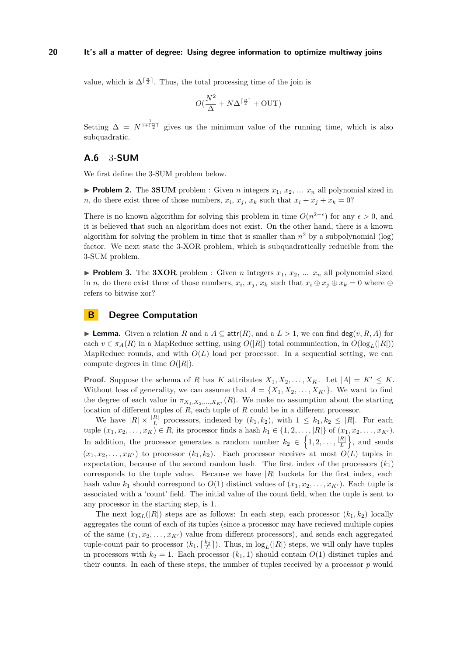value, which is  $\Delta^{\lceil \frac{n}{2} \rceil}$ . Thus, the total processing time of the join is

$$
O(\frac{N^2}{\Delta} + N\Delta^{\lceil \frac{n}{2} \rceil} + \text{OUT})
$$

Setting  $\Delta = N^{\frac{1}{1+\lceil \frac{n}{2} \rceil}}$  gives us the minimum value of the running time, which is also subquadratic.

# <span id="page-19-0"></span>**A.6** 3**-SUM**

We first define the 3-SUM problem below.

**Problem 2.** The **3SUM** problem : Given *n* integers  $x_1, x_2, ... x_n$  all polynomial sized in *n*, do there exist three of those numbers,  $x_i$ ,  $x_j$ ,  $x_k$  such that  $x_i + x_j + x_k = 0$ ?

There is no known algorithm for solving this problem in time  $O(n^{2-\epsilon})$  for any  $\epsilon > 0$ , and it is believed that such an algorithm does not exist. On the other hand, there is a known algorithm for solving the problem in time that is smaller than  $n^2$  by a subpolynomial (log) factor. We next state the 3-XOR problem, which is subquadratically reducible from the 3-SUM problem.

**Problem 3.** The **3XOR** problem : Given *n* integers  $x_1, x_2, ...$  *x<sub>n</sub>* all polynomial sized in *n*, do there exist three of those numbers,  $x_i$ ,  $x_j$ ,  $x_k$  such that  $x_i \oplus x_j \oplus x_k = 0$  where  $\oplus$ refers to bitwise xor?

# <span id="page-19-1"></span>**B Degree Computation**

**► Lemma.** Given a relation *R* and a  $A \subseteq \text{attr}(R)$ , and a  $L > 1$ , we can find deg(*v, R, A*) for each  $v \in \pi_A(R)$  in a MapReduce setting, using  $O(|R|)$  total communication, in  $O(\log_I(|R|))$ MapReduce rounds, and with  $O(L)$  load per processor. In a sequential setting, we can compute degrees in time  $O(|R|)$ .

**Proof.** Suppose the schema of *R* has *K* attributes  $X_1, X_2, \ldots, X_K$ . Let  $|A| = K' \leq K$ . Without loss of generality, we can assume that  $A = \{X_1, X_2, \ldots, X_{K'}\}$ . We want to find the degree of each value in  $\pi_{X_1, X_2, ..., X_{K'}}(R)$ . We make no assumption about the starting location of different tuples of *R*, each tuple of *R* could be in a different processor.

We have  $|R| \times \frac{|R|}{L}$  processors, indexed by  $(k_1, k_2)$ , with  $1 \leq k_1, k_2 \leq |R|$ . For each tuple  $(x_1, x_2, ..., x_K)$  ∈ *R*, its processor finds a hash  $k_1$  ∈ {1, 2, . . . , |*R*|} of  $(x_1, x_2, ..., x_{K'})$ . In addition, the processor generates a random number  $k_2 \in \left\{1, 2, \ldots, \frac{|R|}{L}\right\}$  $\left\{\frac{R|}{L}\right\}$ , and sends  $(x_1, x_2, \ldots, x_{K'})$  to processor  $(k_1, k_2)$ . Each processor receives at most  $O(L)$  tuples in expectation, because of the second random hash. The first index of the processors  $(k_1)$ corresponds to the tuple value. Because we have  $|R|$  buckets for the first index, each hash value  $k_1$  should correspond to  $O(1)$  distinct values of  $(x_1, x_2, \ldots, x_{K'})$ . Each tuple is associated with a 'count' field. The initial value of the count field, when the tuple is sent to any processor in the starting step, is 1.

The next  $log_L(|R|)$  steps are as follows: In each step, each processor  $(k_1, k_2)$  locally aggregates the count of each of its tuples (since a processor may have recieved multiple copies of the same  $(x_1, x_2, \ldots, x_{K'})$  value from different processors), and sends each aggregated tuple-count pair to processor  $(k_1, \lceil \frac{k_2}{L} \rceil)$ . Thus, in  $\log_L(|R|)$  steps, we will only have tuples in processors with  $k_2 = 1$ . Each processor  $(k_1, 1)$  should contain  $O(1)$  distinct tuples and their counts. In each of these steps, the number of tuples received by a processor *p* would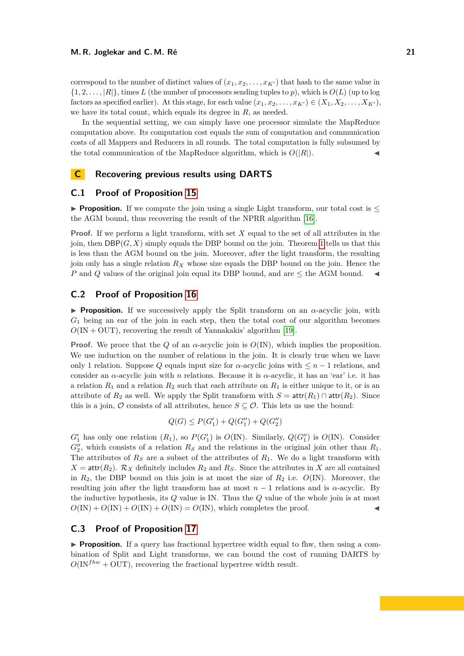correspond to the number of distinct values of  $(x_1, x_2, \ldots, x_{K'})$  that hash to the same value in  $\{1, 2, \ldots, |R|\}$ , times *L* (the number of processors sending tuples to *p*), which is  $O(L)$  (up to log factors as specified earlier). At this stage, for each value  $(x_1, x_2, \ldots, x_{K'}) \in (X_1, X_2, \ldots, X_{K'})$ . we have its total count, which equals its degree in *R*, as needed.

In the sequential setting, we can simply have one processor simulate the MapReduce computation above. Its computation cost equals the sum of computation and communication costs of all Mappers and Reducers in all rounds. The total computation is fully subsumed by the total communication of the MapReduce algorithm, which is  $O(|R|)$ .

# <span id="page-20-0"></span>**C Recovering previous results using DARTS**

# **C.1 Proof of Proposition [15](#page-11-0)**

**Proposition.** If we compute the join using a single Light transform, our total cost is  $\leq$ the AGM bound, thus recovering the result of the NPRR algorithm [\[16\]](#page-16-0).

**Proof.** If we perform a light transform, with set *X* equal to the set of all attributes in the join, then  $DBP(G, X)$  simply equals the DBP bound on the join. Theorem [1](#page-1-0) tells us that this is less than the AGM bound on the join. Moreover, after the light transform, the resulting join only has a single relation *R<sup>X</sup>* whose size equals the DBP bound on the join. Hence the *P* and *Q* values of the original join equal its DBP bound, and are  $\leq$  the AGM bound.

# **C.2 Proof of Proposition [16](#page-11-1)**

**Proposition.** If we successively apply the Split transform on an  $\alpha$ -acyclic join, with *G*<sup>1</sup> being an ear of the join in each step, then the total cost of our algorithm becomes  $O(\text{IN} + \text{OUT})$ , recovering the result of Yannakakis' algorithm [\[19\]](#page-16-8).

**Proof.** We proce that the *Q* of an *α*-acyclic join is *O*(IN), which implies the proposition. We use induction on the number of relations in the join. It is clearly true when we have only 1 relation. Suppose *Q* equals input size for *α*-acyclic joins with  $\leq n-1$  relations, and consider an *α*-acyclic join with *n* relations. Because it is *α*-acyclic, it has an 'ear' i.e. it has a relation  $R_1$  and a relation  $R_2$  such that each attribute on  $R_1$  is either unique to it, or is an attribute of  $R_2$  as well. We apply the Split transform with  $S = \text{attr}(R_1) \cap \text{attr}(R_2)$ . Since this is a join,  $\mathcal O$  consists of all attributes, hence  $S \subseteq \mathcal O$ . This lets us use the bound:

$$
Q(G) \le P(G'_1) + Q(G''_1) + Q(G''_2)
$$

 $G'_{1}$  has only one relation  $(R_{1})$ , so  $P(G'_{1})$  is  $O(\text{IN})$ . Similarly,  $Q(G''_{1})$  is  $O(\text{IN})$ . Consider  $G_2''$ , which consists of a relation  $R_S$  and the relations in the original join other than  $R_1$ . The attributes of  $R<sub>S</sub>$  are a subset of the attributes of  $R<sub>1</sub>$ . We do a light transform with  $X = \text{attr}(R_2)$ .  $\mathcal{R}_X$  definitely includes  $R_2$  and  $R_S$ . Since the attributes in *X* are all contained in  $R_2$ , the DBP bound on this join is at most the size of  $R_2$  i.e.  $O($ IN). Moreover, the resulting join after the light transform has at most  $n-1$  relations and is  $\alpha$ -acyclic. By the inductive hypothesis, its *Q* value is IN. Thus the *Q* value of the whole join is at most  $O(IN) + O(IN) + O(IN) + O(IN) = O(IN)$ , which completes the proof.

# **C.3 Proof of Proposition [17](#page-11-2)**

**Proposition.** If a query has fractional hypertree width equal to flux, then using a combination of Split and Light transforms, we can bound the cost of running DARTS by  $O(\text{IN}^{fhw} + \text{OUT})$ , recovering the fractional hypertree width result.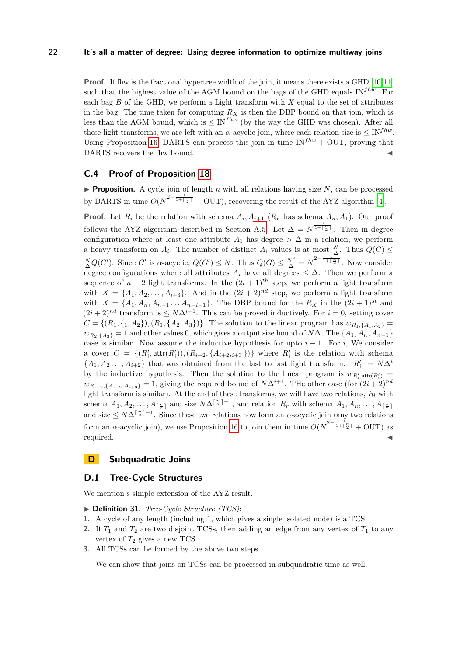**Proof.** If fhw is the fractional hypertree width of the join, it means there exists a GHD [\[10,](#page-16-13)[11\]](#page-16-9) such that the highest value of the AGM bound on the bags of the GHD equals  $IN^{fhw}$ . For each bag *B* of the GHD, we perform a Light transform with *X* equal to the set of attributes in the bag. The time taken for computing  $R_X$  is then the DBP bound on that join, which is less than the AGM bound, which is  $\leq$  IN<sup>*fhw*</sup> (by the way the GHD was chosen). After all these light transforms, we are left with an *α*-acyclic join, where each relation size is  $\leq$  IN<sup>fhw</sup>. Using Proposition [16,](#page-11-1) DARTS can process this join in time  $IN^{fhw} + OUT$ , proving that DARTS recovers the fhw bound.

# **C.4 Proof of Proposition [18](#page-11-3)**

**Proposition.** A cycle join of length *n* with all relations having size  $N$ , can be processed by DARTS in time  $O(N^{2-\frac{1}{1+\lceil\frac{n}{2}\rceil}} + \text{OUT})$ , recovering the result of the AYZ algorithm [\[4\]](#page-16-10).

**Proof.** Let  $R_i$  be the relation with schema  $A_i$ ,  $A_{i+1}$  ( $R_n$  has schema  $A_n$ ,  $A_1$ ). Our proof follows the AYZ algorithm described in Section [A.5.](#page-18-0) Let  $\Delta = N^{\frac{1}{1+\lceil \frac{n}{2} \rceil}}$ . Then in degree configuration where at least one attribute  $A_1$  has degree  $> \Delta$  in a relation, we perform a heavy transform on  $A_i$ . The number of distinct  $A_i$  values is at most  $\frac{N}{\Delta}$ . Thus  $Q(G)$  $\frac{N}{\Delta}Q(G')$ . Since *G*<sup>*'*</sup> is *α*-acyclic,  $Q(G') \leq N$ . Thus  $Q(G) \leq \frac{N^2}{\Delta} = N^{2-\frac{1}{1+\lceil\frac{n}{2}\rceil}}$ . Now consider degree configurations where all attributes  $A_i$  have all degrees  $\leq \Delta$ . Then we perform a sequence of  $n-2$  light transforms. In the  $(2i+1)^{th}$  step, we perform a light transform with  $X = \{A_1, A_2, \ldots, A_{i+3}\}.$  And in the  $(2i + 2)^{nd}$  step, we perform a light transform with  $X = \{A_1, A_n, A_{n-1} \ldots A_{n-i-1}\}$ . The DBP bound for the  $R_X$  in the  $(2i + 1)^{st}$  and  $(2i + 2)^{nd}$  transform is  $\leq N\Delta^{i+1}$ . This can be proved inductively. For  $i = 0$ , setting cover  $C = \{(R_1, \{1, A_2\}), (R_1, \{A_2, A_3\})\}.$  The solution to the linear program has  $w_{R_1, \{A_1, A_2\}} =$  $w_{R_2,\{A_3\}} = 1$  and other values 0, which gives a output size bound of *N*∆. The { $A_1, A_n, A_{n-1}$ } case is similar. Now assume the inductive hypothesis for upto  $i - 1$ . For *i*, We consider a cover  $C = \{(R'_i, \text{attr}(R'_i)), (R_{i+2}, \{A_{i+2}, A_{i+3}\})\}$  where  $R'_i$  is the relation with schema  ${A_1, A_2, \ldots, A_{i+2}}$  that was obtained from the last to last light transform.  $|R'_i| = N\Delta^i$ by the inductive hypothesis. Then the solution to the linear program is  $w_{R'_i, \text{attr}(R'_i)}$  $w_{R_{i+2},\{A_{i+2},A_{i+3}\}} = 1$ , giving the required bound of *N*∆<sup>*i*+1. The other case (for  $(2i + 2)^{nd}$ )</sup> light transform is similar). At the end of these transforms, we will have two relations, *R<sup>l</sup>* with schema  $A_1, A_2, \ldots, A_{\lceil \frac{n}{2} \rceil}$  and size  $N\Delta^{\lceil \frac{n}{2} \rceil - 1}$ , and relation  $R_r$  with schema  $A_1, A_n, \ldots, A_{\lceil \frac{n}{2} \rceil}$ and size  $\leq N\Delta^{\lceil \frac{n}{2} \rceil-1}$ . Since these two relations now form an *α*-acyclic join (any two relations form an *α*-acyclic join), we use Proposition [16](#page-11-1) to join them in time  $O(N^{2-\frac{1}{1+\lceil \frac{n}{2} \rceil}} + \text{OUT})$  as required.

# <span id="page-21-0"></span>**D Subquadratic Joins**

# **D.1 Tree-Cycle Structures**

We mention s simple extension of the AYZ result.

- ▶ **Definition 31.** *Tree-Cycle Structure (TCS)*:
- **1.** A cycle of any length (including 1, which gives a single isolated node) is a TCS
- **2.** If  $T_1$  and  $T_2$  are two disjoint TCSs, then adding an edge from any vertex of  $T_1$  to any vertex of *T*<sup>2</sup> gives a new TCS.
- **3.** All TCSs can be formed by the above two steps.

We can show that joins on TCSs can be processed in subquadratic time as well.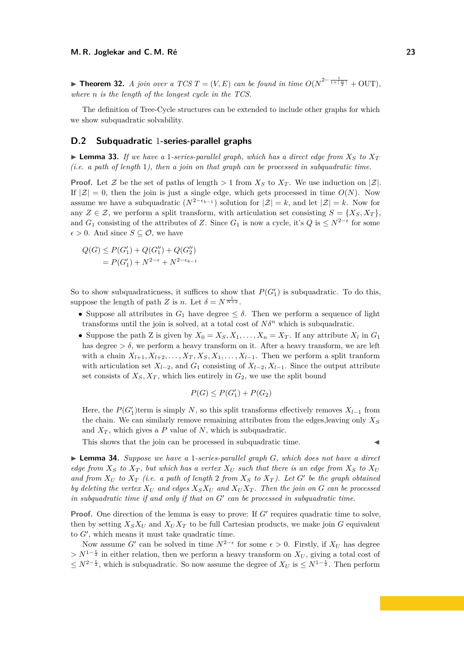► **Theorem 32.** *A join over a TCS*  $T = (V, E)$  *can be found in time*  $O(N^{2-\frac{1}{1+\lceil \frac{n}{2} \rceil}} + \text{OUT})$ *, where n is the length of the longest cycle in the TCS.*

The definition of Tree-Cycle structures can be extended to include other graphs for which we show subquadratic solvability.

# **D.2 Subquadratic** 1**-series-parallel graphs**

<span id="page-22-0"></span>**Example 133.** If we have a 1-series-parallel graph, which has a direct edge from  $X_S$  to  $X_T$ *(i.e. a path of length* 1*), then a join on that graph can be processed in subquadratic time.*

**Proof.** Let Z be the set of paths of length  $> 1$  from  $X_S$  to  $X_T$ . We use induction on  $|\mathcal{Z}|$ . If  $|\mathcal{Z}| = 0$ , then the join is just a single edge, which gets processed in time  $O(N)$ . Now assume we have a subquadratic  $(N^{2-\epsilon_{k-1}})$  solution for  $|\mathcal{Z}| = k$ , and let  $|\mathcal{Z}| = k$ . Now for any  $Z \in \mathcal{Z}$ , we perform a split transform, with articulation set consisting  $S = \{X_S, X_T\}$ , and  $G_1$  consisting of the attributes of *Z*. Since  $G_1$  is now a cycle, it's  $Q$  is  $\leq N^{2-\epsilon}$  for some  $\epsilon > 0$ . And since  $S \subseteq \mathcal{O}$ , we have

$$
Q(G) \le P(G'_1) + Q(G''_1) + Q(G''_2)
$$
  
=  $P(G'_1) + N^{2-\epsilon} + N^{2-\epsilon_{k-1}}$ 

So to show subquadraticness, it suffices to show that  $P(G_1')$  is subquadratic. To do this, suppose the length of path *Z* is *n*. Let  $\delta = N^{\frac{1}{N+2}}$ .

- Suppose all attributes in  $G_1$  have degree  $\leq \delta$ . Then we perform a sequence of light transforms until the join is solved, at a total cost of  $N\delta^n$  which is subquadratic.
- Suppose the path Z is given by  $X_0 = X_S, X_1, \ldots, X_n = X_T$ . If any attribute  $X_l$  in  $G_1$ has degree  $> \delta$ , we perform a heavy transform on it. After a heavy transform, we are left with a chain  $X_{l+1}, X_{l+2}, \ldots, X_T, X_S, X_1, \ldots, X_{l-1}$ . Then we perform a split tranform with articulation set  $X_{l-2}$ , and  $G_1$  consisting of  $X_{l-2}$ ,  $X_{l-1}$ . Since the output attribute set consists of  $X_S, X_T$ , which lies entirely in  $G_2$ , we use the split bound

$$
P(G) \leq P(G'_1) + P(G_2)
$$

Here, the  $P(G'_{1})$ term is simply *N*, so this split transforms effectively removes  $X_{l-1}$  from the chain. We can similarly remove remaining attributes from the edges,leaving only *X<sup>S</sup>* and  $X_T$ , which gives a P value of N, which is subquadratic.

This shows that the join can be processed in subquadratic time.

<span id="page-22-1"></span>I **Lemma 34.** *Suppose we have a* 1*-series-parallel graph G, which does not have a direct edge from*  $X_S$  *to*  $X_T$ , *but which has a vertex*  $X_U$  *such that there is an edge from*  $X_S$  *to*  $X_U$ and from  $X_U$  to  $X_T$  (i.e. a path of length 2 from  $X_S$  to  $X_T$ ). Let  $G'$  be the graph obtained *by deleting the vertex*  $X_U$  *and edges*  $X_S X_U$  *and*  $X_U X_T$ . Then the join on  $G$  *can be processed in subquadratic time if and only if that on*  $G'$  can be processed in subquadratic time.

**Proof.** One direction of the lemma is easy to prove: If  $G'$  requires quadratic time to solve, then by setting  $X_S X_U$  and  $X_U X_T$  to be full Cartesian products, we make join *G* equivalent to  $G'$ , which means it must take quadratic time.

Now assume *G*<sup> $\prime$ </sup> can be solved in time  $N^{2-\epsilon}$  for some  $\epsilon > 0$ . Firstly, if  $X_U$  has degree >  $N^{1-\frac{\epsilon}{2}}$  in either relation, then we perform a heavy transform on  $X_U$ , giving a total cost of  $\leq N^{2-\frac{\epsilon}{2}}$ , which is subquadratic. So now assume the degree of  $X_U$  is  $\leq N^{1-\frac{\epsilon}{2}}$ . Then perform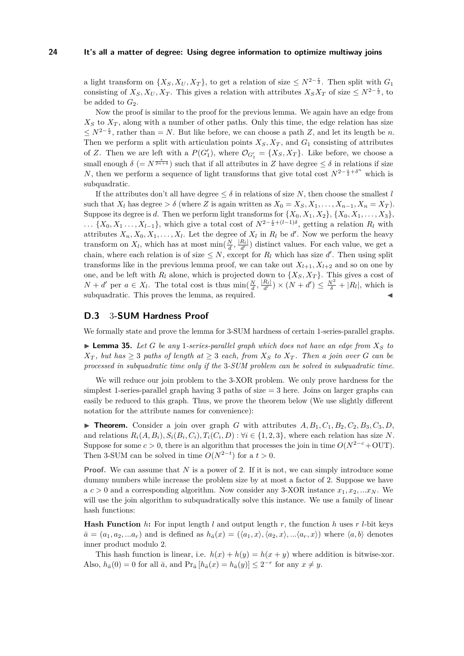a light transform on  $\{X_S, X_U, X_T\}$ , to get a relation of size  $\leq N^{2-\frac{\epsilon}{2}}$ . Then split with  $G_1$ consisting of  $X_S, X_U, X_T$ . This gives a relation with attributes  $X_S X_T$  of size  $\leq N^{2-\frac{\epsilon}{2}}$ , to be added to  $G_2$ .

Now the proof is similar to the proof for the previous lemma. We again have an edge from  $X<sub>S</sub>$  to  $X<sub>T</sub>$ , along with a number of other paths. Only this time, the edge relation has size  $\leq N^{2-\frac{\epsilon}{2}}$ , rather than = *N*. But like before, we can choose a path *Z*, and let its length be *n*. Then we perform a split with articulation points  $X_S, X_T$ , and  $G_1$  consisting of attributes of *Z*. Then we are left with a  $P(G'_{1})$ , where  $\mathcal{O}_{G'_{1}} = \{X_{S}, X_{T}\}$ . Like before, we choose a small enough  $\delta$  (=  $N^{\frac{\epsilon}{2n+4}}$ ) such that if all attributes in *Z* have degree  $\leq \delta$  in relations if size *N*, then we perform a sequence of light transforms that give total cost  $N^{2-\frac{\epsilon}{2}+\delta^n}$  which is subquadratic.

If the attributes don't all have degree  $\leq \delta$  in relations of size N, then choose the smallest *l* such that  $X_l$  has degree  $> \delta$  (where *Z* is again written as  $X_0 = X_S, X_1, \ldots, X_{n-1}, X_n = X_T$ ). Suppose its degree is *d*. Then we perform light transforms for  $\{X_0, X_1, X_2\}, \{X_0, X_1, \ldots, X_3\}$ , *...* {*X*<sub>0</sub>*, X*<sub>1</sub> *..., X*<sub>*l*−1</sub>}, which give a total cost of  $N^{2-\frac{e}{2}+(l-1)\delta}$ , getting a relation *R*<sub>*l*</sub> with attributes  $X_n, X_0, X_1, \ldots, X_l$ . Let the degree of  $X_l$  in  $R_l$  be  $d'$ . Now we perform the heavy transform on  $X_l$ , which has at most  $\min(\frac{N}{d}, \frac{|R_l|}{d'})$  distinct values. For each value, we get a chain, where each relation is of size  $\leq N$ , except for  $R_l$  which has size d'. Then using split transforms like in the previous lemma proof, we can take out  $X_{l+1}, X_{l+2}$  and so on one by one, and be left with  $R_l$  alone, which is projected down to  $\{X_S, X_T\}$ . This gives a cost of  $N + d'$  per  $a \in X_l$ . The total cost is thus  $\min(\frac{N}{d}, \frac{|R_l|}{d'}) \times (N + d') \leq \frac{N^2}{\delta} + |R_l|$ , which is subquadratic. This proves the lemma, as required.

### **D.3** 3**-SUM Hardness Proof**

We formally state and prove the lemma for 3-SUM hardness of certain 1-series-parallel graphs.

<span id="page-23-0"></span> $\blacktriangleright$  **Lemma 35.** Let *G* be any 1-series-parallel graph which does not have an edge from  $X_S$  to  $X_T$ , but has  $\geq 3$  paths of length at  $\geq 3$  each, from  $X_S$  to  $X_T$ . Then a join over G can be *processed in subquadratic time only if the* 3*-SUM problem can be solved in subquadratic time.*

We will reduce our join problem to the 3-XOR problem. We only prove hardness for the simplest 1-series-parallel graph having 3 paths of size  $=$  3 here. Joins on larger graphs can easily be reduced to this graph. Thus, we prove the theorem below (We use slightly different notation for the attribute names for convenience):

 $\triangleright$  **Theorem.** Consider a join over graph *G* with attributes  $A, B_1, C_1, B_2, C_2, B_3, C_3, D$ , and relations  $R_i(A, B_i), S_i(B_i, C_i), T_i(C_i, D)$ :  $\forall i \in \{1, 2, 3\}$ , where each relation has size N. Suppose for some  $c > 0$ , there is an algorithm that processes the join in time  $O(N^{2-c} + \text{OUT})$ . Then 3-SUM can be solved in time  $O(N^{2-t})$  for a  $t > 0$ .

**Proof.** We can assume that N is a power of 2. If it is not, we can simply introduce some dummy numbers while increase the problem size by at most a factor of 2. Suppose we have a  $c > 0$  and a corresponding algorithm. Now consider any 3-XOR instance  $x_1, x_2, ... x_N$ . We will use the join algorithm to subquadratically solve this instance. We use a family of linear hash functions:

**Hash Function** *h*: For input length *l* and output length *r*, the function *h* uses *r l*-bit keys  $\bar{a} = (a_1, a_2, \ldots, a_r)$  and is defined as  $h_{\bar{a}}(x) = (\langle a_1, x \rangle, \langle a_2, x \rangle, \ldots, \langle a_r, x \rangle)$  where  $\langle a, b \rangle$  denotes inner product modulo 2.

This hash function is linear, i.e.  $h(x) + h(y) = h(x + y)$  where addition is bitwise-xor. Also,  $h_{\bar{a}}(0) = 0$  for all  $\bar{a}$ , and  $\Pr_{\bar{a}}[h_{\bar{a}}(x) = h_{\bar{a}}(y)] \leq 2^{-r}$  for any  $x \neq y$ .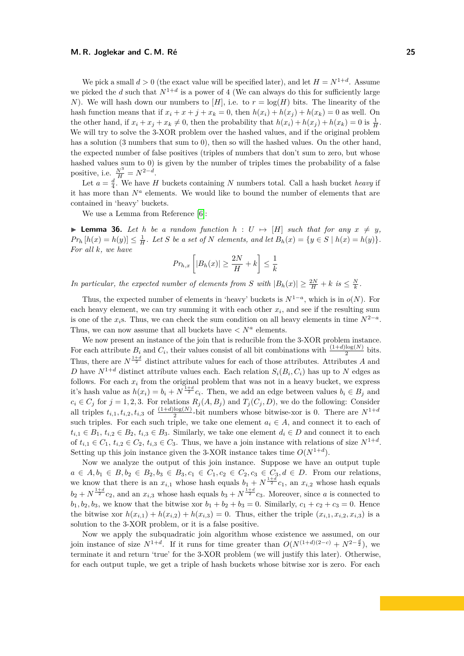#### **M. R. Joglekar and C. M. Ré 25**

We pick a small  $d > 0$  (the exact value will be specified later), and let  $H = N^{1+d}$ . Assume we picked the *d* such that  $N^{1+d}$  is a power of 4 (We can always do this for sufficiently large *N*). We will hash down our numbers to  $[H]$ , i.e. to  $r = \log(H)$  bits. The linearity of the hash function means that if  $x_i + x + j + x_k = 0$ , then  $h(x_i) + h(x_j) + h(x_k) = 0$  as well. On the other hand, if  $x_i + x_j + x_k \neq 0$ , then the probability that  $h(x_i) + h(x_j) + h(x_k) = 0$  is  $\frac{1}{H}$ . We will try to solve the 3-XOR problem over the hashed values, and if the original problem has a solution (3 numbers that sum to 0), then so will the hashed values. On the other hand, the expected number of false positives (triples of numbers that don't sum to zero, but whose hashed values sum to 0) is given by the number of triples times the probability of a false positive, i.e.  $\frac{N^3}{H} = N^{2-d}$ .

Let  $a = \frac{d}{4}$ . We have *H* buckets containing *N* numbers total. Call a hash bucket *heavy* if it has more than  $N^a$  elements. We would like to bound the number of elements that are contained in 'heavy' buckets.

We use a Lemma from Reference [\[6\]](#page-16-11):

**I Lemma 36.** Let *h* be a random function  $h: U \mapsto [H]$  such that for any  $x \neq y$ ,  $Pr_h[h(x) = h(y)] \leq \frac{1}{H}$ . Let S be a set of N elements, and let  $B_h(x) = \{y \in S \mid h(x) = h(y)\}.$ *For all k, we have*

$$
Pr_{h,x}\left[|B_h(x)| \ge \frac{2N}{H} + k\right] \le \frac{1}{k}
$$

*In particular, the expected number of elements from S* with  $|B_h(x)| \geq \frac{2N}{H} + k$  *is*  $\leq \frac{N}{k}$ .

Thus, the expected number of elements in 'heavy' buckets is  $N^{1-a}$ , which is in  $o(N)$ . For each heavy element, we can try summing it with each other  $x_i$ , and see if the resulting sum is one of the  $x_i$ s. Thus, we can check the sum condition on all heavy elements in time  $N^{2-a}$ . Thus, we can now assume that all buckets have  $\langle N^a \rangle$  elements.

We now present an instance of the join that is reducible from the 3-XOR problem instance. For each attribute  $B_i$  and  $C_i$ , their values consist of all bit combinations with  $\frac{(1+d)\log(N)}{2}$  bits. Thus, there are  $N^{\frac{1+d}{2}}$  distinct attribute values for each of those attributes. Attributes *A* and *D* have  $N^{1+d}$  distinct attribute values each. Each relation  $S_i(B_i, C_i)$  has up to *N* edges as follows. For each  $x_i$  from the original problem that was not in a heavy bucket, we express it's hash value as  $h(x_i) = b_i + N^{\frac{1+d}{2}}c_i$ . Then, we add an edge between values  $b_i \in B_j$  and  $c_i \in C_j$  for  $j = 1, 2, 3$ . For relations  $R_j(A, B_j)$  and  $T_j(C_j, D)$ , we do the following: Consider all triples  $t_{i,1}, t_{i,2}, t_{i,3}$  of  $\frac{(1+d)\log(N)}{2}$ -bit numbers whose bitwise-xor is 0. There are  $N^{1+d}$ such triples. For each such triple, we take one element  $a_i \in A$ , and connect it to each of  $t_{i,1} \in B_1$ ,  $t_{i,2} \in B_2$ ,  $t_{i,3} \in B_3$ . Similarly, we take one element  $d_i \in D$  and connect it to each of  $t_{i,1} \in C_1$ ,  $t_{i,2} \in C_2$ ,  $t_{i,3} \in C_3$ . Thus, we have a join instance with relations of size  $N^{1+d}$ . Setting up this join instance given the 3-XOR instance takes time  $O(N^{1+d})$ .

Now we analyze the output of this join instance. Suppose we have an output tuple *a* ∈ *A*, *b*<sub>1</sub> ∈ *B*, *b*<sub>2</sub> ∈ *B*<sub>2</sub>, *b*<sub>3</sub> ∈ *B*<sub>3</sub>, *c*<sub>1</sub> ∈ *C*<sub>1</sub>, *c*<sub>2</sub> ∈ *C*<sub>2</sub>, *c*<sub>3</sub> ∈ *C*<sub>3</sub>, *d* ∈ *D*. From our relations, we know that there is an  $x_{i,1}$  whose hash equals  $b_1 + N^{\frac{1+d}{2}}c_1$ , an  $x_{i,2}$  whose hash equals  $b_2 + N^{\frac{1+d}{2}}c_2$ , and an  $x_{i,3}$  whose hash equals  $b_3 + N^{\frac{1+d}{2}}c_3$ . Moreover, since *a* is connected to *b*<sub>1</sub>*, b*<sub>2</sub>*, b*<sub>3</sub>*,* we know that the bitwise xor  $b_1 + b_2 + b_3 = 0$ . Similarly,  $c_1 + c_2 + c_3 = 0$ . Hence the bitwise xor  $h(x_{i,1}) + h(x_{i,2}) + h(x_{i,3}) = 0$ . Thus, either the triple  $(x_{i,1}, x_{i,2}, x_{i,3})$  is a solution to the 3-XOR problem, or it is a false positive.

Now we apply the subquadratic join algorithm whose existence we assumed, on our join instance of size  $N^{1+d}$ . If it runs for time greater than  $O(N^{(1+d)(2-c)} + N^{2-\frac{d}{2}})$ , we terminate it and return 'true' for the 3-XOR problem (we will justify this later). Otherwise, for each output tuple, we get a triple of hash buckets whose bitwise xor is zero. For each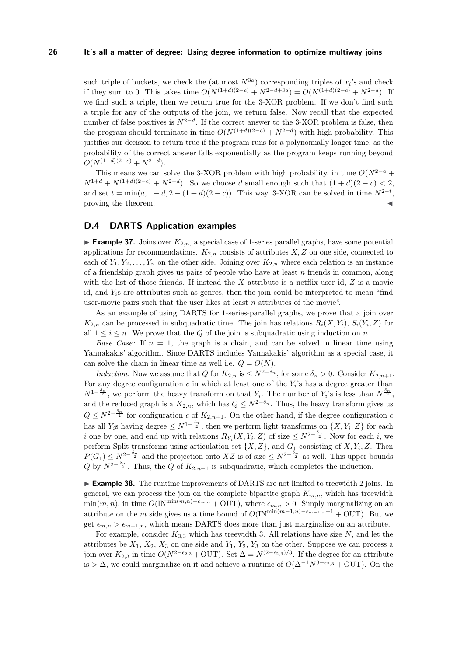such triple of buckets, we check the (at most  $N^{3a}$ ) corresponding triples of  $x_i$ 's and check if they sum to 0. This takes time  $O(N^{(1+d)(2-c)} + N^{2-d+3a}) = O(N^{(1+d)(2-c)} + N^{2-a})$ . If we find such a triple, then we return true for the 3-XOR problem. If we don't find such a triple for any of the outputs of the join, we return false. Now recall that the expected number of false positives is  $N^{2-d}$ . If the correct answer to the 3-XOR problem is false, then the program should terminate in time  $O(N^{(1+d)(2-c)} + N^{2-d})$  with high probability. This justifies our decision to return true if the program runs for a polynomially longer time, as the probability of the correct answer falls exponentially as the program keeps running beyond  $O(N^{(1+d)(2-c)} + N^{2-d}).$ 

This means we can solve the 3-XOR problem with high probability, in time  $O(N^{2-a} +$  $N^{1+d} + N^{(1+d)(2-c)} + N^{2-d}$ . So we choose *d* small enough such that  $(1+d)(2-c) < 2$ , and set  $t = \min(a, 1 - d, 2 - (1 + d)(2 - c))$ . This way, 3-XOR can be solved in time  $N^{2-t}$ , proving the theorem.

# **D.4 DARTS Application examples**

**Example 37.** Joins over  $K_{2,n}$ , a special case of 1-series parallel graphs, have some potential applications for recommendations.  $K_{2,n}$  consists of attributes  $X, Z$  on one side, connected to each of  $Y_1, Y_2, \ldots, Y_n$  on the other side. Joining over  $K_{2,n}$  where each relation is an instance of a friendship graph gives us pairs of people who have at least *n* friends in common, along with the list of those friends. If instead the *X* attribute is a netflix user id, *Z* is a movie id, and *Yi*s are attributes such as genres, then the join could be interpreted to mean "find user-movie pairs such that the user likes at least *n* attributes of the movie".

As an example of using DARTS for 1-series-parallel graphs, we prove that a join over  $K_{2,n}$  can be processed in subquadratic time. The join has relations  $R_i(X,Y_i)$ ,  $S_i(Y_i, Z)$  for all  $1 \leq i \leq n$ . We prove that the *Q* of the join is subquadratic using induction on *n*.

*Base Case:* If  $n = 1$ , the graph is a chain, and can be solved in linear time using Yannakakis' algorithm. Since DARTS includes Yannakakis' algorithm as a special case, it can solve the chain in linear time as well i.e.  $Q = O(N)$ .

*Induction:* Now we assume that *Q* for  $K_{2,n}$  is  $\leq N^{2-\delta_n}$ , for some  $\delta_n > 0$ . Consider  $K_{2,n+1}$ . For any degree configuration  $c$  in which at least one of the  $Y_i$ 's has a degree greater than  $N^{1-\frac{\delta_n}{2}}$ , we perform the heavy transform on that *Y*<sub>*i*</sub>. The number of *Y*<sub>*i*</sub>'s is less than  $N^{\frac{\delta_n}{2}}$ , and the reduced graph is a  $K_{2,n}$ , which has  $Q \leq N^{2-\delta_n}$ . Thus, the heavy transform gives us  $Q \leq N^{2-\frac{\delta_n}{2}}$  for configuration *c* of  $K_{2,n+1}$ . On the other hand, if the degree configuration *c* has all  $Y_i$ s having degree  $\leq N^{1-\frac{\delta_n}{2}}$ , then we perform light transforms on  $\{X, Y_i, Z\}$  for each *i* one by one, and end up with relations  $R_{Y_i}(X, Y_i, Z)$  of size  $\leq N^{2-\frac{\delta_n}{2}}$ . Now for each *i*, we perform Split transforms using articulation set  $\{X, Z\}$ , and  $G_1$  consisting of  $X, Y_i, Z$ . Then  $P(G_1) \leq N^{2-\frac{\delta_n}{2}}$  and the projection onto *XZ* is of size  $\leq N^{2-\frac{\delta_n}{2}}$  as well. This upper bounds  $Q$  by  $N^{2-\frac{\delta_n}{2}}$ . Thus, the  $Q$  of  $K_{2,n+1}$  is subquadratic, which completes the induction.

► **Example 38.** The runtime improvements of DARTS are not limited to treewidth 2 joins. In general, we can process the join on the complete bipartite graph  $K_{m,n}$ , which has treewidth  $\min(m, n)$ , in time  $O(\text{IN}^{\min(m,n)-\epsilon_{m,n}} + \text{OUT})$ , where  $\epsilon_{m,n} > 0$ . Simply marginalizing on an attribute on the *m* side gives us a time bound of  $O(\text{IN}^{\min(m-1,n)-\epsilon_{m-1,n}+1} + \text{OUT})$ . But we get  $\epsilon_{m,n} > \epsilon_{m-1,n}$ , which means DARTS does more than just marginalize on an attribute.

For example, consider  $K_{3,3}$  which has treewidth 3. All relations have size N, and let the attributes be  $X_1, X_2, X_3$  on one side and  $Y_1, Y_2, Y_3$  on the other. Suppose we can process a join over  $K_{2,3}$  in time  $O(N^{2-\epsilon_{2,3}} + \text{OUT})$ . Set  $\Delta = N^{(2-\epsilon_{2,3})/3}$ . If the degree for an attribute is >  $\Delta$ , we could marginalize on it and achieve a runtime of  $O(\Delta^{-1}N^{3-\epsilon_{2,3}} + \text{OUT})$ . On the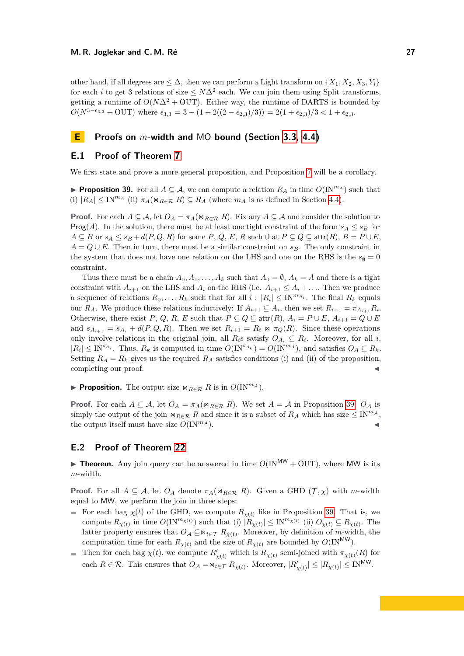other hand, if all degrees are  $\leq \Delta$ , then we can perform a Light transform on  $\{X_1, X_2, X_3, Y_i\}$ for each *i* to get 3 relations of size  $\leq N\Delta^2$  each. We can join them using Split transforms, getting a runtime of  $O(N\Delta^2 + \text{OUT})$ . Either way, the runtime of DARTS is bounded by  $O(N^{3-\epsilon_{3,3}} + \text{OUT})$  where  $\epsilon_{3,3} = 3 - (1 + 2((2-\epsilon_{2,3})/3)) = 2(1+\epsilon_{2,3})/3 < 1+\epsilon_{2,3}$ .

# <span id="page-26-0"></span>**E Proofs on** *m***-width and** MO **bound (Section [3.3,](#page-7-0) [4.4\)](#page-13-2)**

## **E.1 Proof of Theorem [7](#page-7-3)**

We first state and prove a more general proposition, and Proposition [7](#page-7-3) will be a corollary.

<span id="page-26-1"></span>**Proposition 39.** For all  $A \subseteq \mathcal{A}$ , we can compute a relation  $R_A$  in time  $O(\text{IN}^m A)$  such that (i)  $|R_A| \leq \text{IN}^{m_A}$  (ii)  $\pi_A(\mathbf{w}_{R \in \mathcal{R}} | R) \subseteq R_A$  (where  $m_A$  is as defined in Section [4.4\)](#page-13-2).

**Proof.** For each  $A \subseteq \mathcal{A}$ , let  $O_A = \pi_A(\Join_{R \in \mathcal{R}} R)$ . Fix any  $A \subseteq \mathcal{A}$  and consider the solution to **Prog(***A***).** In the solution, there must be at least one tight constraint of the form  $s_A \leq s_B$  for  $A \subseteq B$  or  $s_A \leq s_B + d(P,Q,R)$  for some  $P, Q, E, R$  such that  $P \subseteq Q \subseteq \text{attr}(R), B = P \cup E$ , *A* =  $Q ∪ E$ . Then in turn, there must be a similar constraint on *s<sub>B</sub>*. The only constraint in the system that does not have one relation on the LHS and one on the RHS is the  $s_{\emptyset} = 0$ constraint.

Thus there must be a chain  $A_0, A_1, \ldots, A_k$  such that  $A_0 = \emptyset$ ,  $A_k = A$  and there is a tight constraint with  $A_{i+1}$  on the LHS and  $A_i$  on the RHS (i.e.  $A_{i+1} \leq A_i + \ldots$ . Then we produce a sequence of relations  $R_0, \ldots, R_k$  such that for all  $i : |R_i| \leq \text{IN}^{m_{A_i}}$ . The final  $R_k$  equals our  $R_A$ . We produce these relations inductively: If  $A_{i+1} \subseteq A_i$ , then we set  $R_{i+1} = \pi_{A_{i+1}} R_i$ . Otherwise, there exist  $P$ ,  $Q$ ,  $R$ ,  $E$  such that  $P \subseteq Q \subseteq \text{attr}(R)$ ,  $A_i = P \cup E$ ,  $A_{i+1} = Q \cup E$ and  $s_{A_{i+1}} = s_{A_i} + d(P,Q,R)$ . Then we set  $R_{i+1} = R_i \bowtie \pi_Q(R)$ . Since these operations only involve relations in the original join, all  $R_i$ s satisfy  $O_{A_i} \subseteq R_i$ . Moreover, for all *i*,  $|R_i| \leq \text{IN}^{s_{A_i}}$ . Thus,  $R_k$  is computed in time  $O(\text{IN}^{s_{A_k}}) = O(\text{IN}^{m_A})$ , and satisfies  $O_A \subseteq R_k$ . Setting  $R_A = R_k$  gives us the required  $R_A$  satisfies conditions (i) and (ii) of the proposition, completing our proof.

**Proposition.** The output size  $\bowtie_{R \in \mathcal{R}} R$  is in  $O(\text{IN}^{m_{\mathcal{A}}})$ .

**Proof.** For each  $A \subseteq \mathcal{A}$ , let  $O_A = \pi_A(\Join_{R \in \mathcal{R}} R)$ . We set  $A = \mathcal{A}$  in Proposition [39.](#page-26-1)  $O_{\mathcal{A}}$  is simply the output of the join  $\bowtie_{R\in\mathcal{R}} R$  and since it is a subset of  $R_A$  which has size  $\leq N^{m_A}$ , the output itself must have size  $O(N^{m_A})$ .

# **E.2 Proof of Theorem [22](#page-13-3)**

**Theorem.** Any join query can be answered in time  $O(\text{IN}^{MW} + \text{OUT})$ , where MW is its *m*-width.

**Proof.** For all  $A \subseteq \mathcal{A}$ , let  $O_A$  denote  $\pi_A(\Join_{R \in \mathcal{R}} R)$ . Given a GHD  $(\mathcal{T}, \chi)$  with *m*-width equal to MW, we perform the join in three steps:

- For each bag  $\chi(t)$  of the GHD, we compute  $R_{\chi(t)}$  like in Proposition [39.](#page-26-1) That is, we compute  $R_{\chi(t)}$  in time  $O(\text{IN}^{m_{\chi(t)}})$  such that (i)  $|R_{\chi(t)}| \leq \text{IN}^{m_{\chi(t)}}$  (ii)  $O_{\chi(t)} \subseteq R_{\chi(t)}$ . The latter property ensures that  $O_A \subseteq \mathbb{N}_{t \in \mathcal{T}} R_{\chi(t)}$ . Moreover, by definition of *m*-width, the computation time for each  $R_{\chi(t)}$  and the size of  $R_{\chi(t)}$  are bounded by  $O(\text{IN}^{\text{MW}})$ .
- Then for each bag  $\chi(t)$ , we compute  $R'_{\chi(t)}$  which is  $R_{\chi(t)}$  semi-joined with  $\pi_{\chi(t)}(R)$  for each  $R \in \mathcal{R}$ . This ensures that  $O_A = \mathcal{A}_{t \in \mathcal{T}} R_{\chi(t)}$ . Moreover,  $|R'_{\chi(t)}| \leq |R_{\chi(t)}| \leq \text{IN}^{\text{MW}}$ .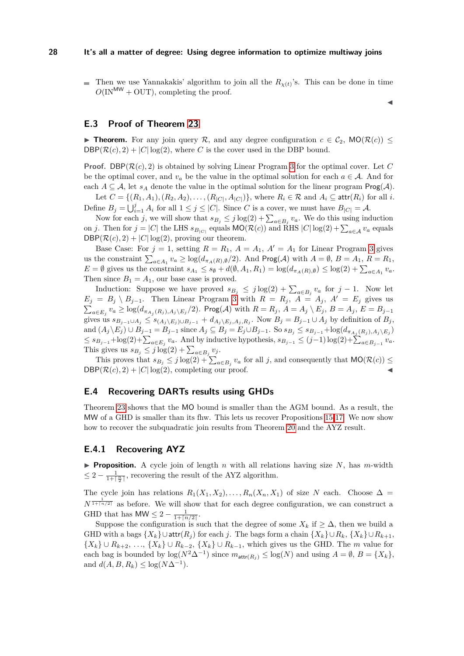Then we use Yannakakis' algorithm to join all the  $R_{\chi(t)}$ 's. This can be done in time  $O(\text{IN}^{\text{MW}} + \text{OUT})$ , completing the proof.

 $\blacktriangleleft$ 

### **E.3 Proof of Theorem [23](#page-13-1)**

**Theorem.** For any join query R, and any degree configuration  $c \in C_2$ , MO( $\mathcal{R}(c)$ )  $\leq$  $DBP(\mathcal{R}(c), 2) + |C| \log(2)$ , where *C* is the cover used in the DBP bound.

**Proof.** DBP( $\mathcal{R}(c)$ , 2) is obtained by solving Linear Program [3](#page-14-1) for the optimal cover. Let C be the optimal cover, and  $v_a$  be the value in the optimal solution for each  $a \in A$ . And for each  $A \subseteq \mathcal{A}$ , let  $s_A$  denote the value in the optimal solution for the linear program  $\text{Prog}(\mathcal{A})$ .

Let  $C = \{(R_1, A_1), (R_2, A_2), \ldots, (R_{|C|}, A_{|C|})\}$ , where  $R_i \in \mathcal{R}$  and  $A_i \subseteq \text{attr}(R_i)$  for all *i*. Define  $B_j = \bigcup_{i=1}^j A_i$  for all  $1 \leq j \leq |C|$ . Since *C* is a cover, we must have  $B_{|C|} = A$ .

Now for each *j*, we will show that  $s_{B_j} \leq j \log(2) + \sum_{a \in B_j} v_a$ . We do this using induction on *j*. Then for  $j = |C|$  the LHS  $s_{B_{|C|}}$  equals  $\mathsf{MO}(\mathcal{R}(c))$  and RHS  $|C| \log(2) + \sum_{a \in \mathcal{A}} v_a$  equals  $DBP(\mathcal{R}(c), 2) + |C| \log(2)$ , proving our theorem.

Base Case: For  $j = 1$ , setting  $R = R_1$ ,  $A = A_1$ ,  $A' = A_1$  for Linear Program [3](#page-14-1) gives us the constraint  $\sum_{a \in A_1} v_a \ge \log(d_{\pi_A(R),\emptyset}/2)$ . And  $\textsf{Prog}(\mathcal{A})$  with  $A = \emptyset$ ,  $B = A_1$ ,  $R = R_1$ ,  $E = \emptyset$  gives us the constraint  $s_{A_1} \leq s_{\emptyset} + d(\emptyset, A_1, R_1) = \log(d_{\pi_A(R), \emptyset}) \leq \log(2) + \sum_{a \in A_1} v_a$ . Then since  $B_1 = A_1$ , our base case is proved.

Induction: Suppose we have proved  $s_{B_j} \leq j \log(2) + \sum_{a \in B_j} v_a$  for  $j - 1$ . Now let  $E_j = B_j \setminus B_{j-1}$ . Then Linear Program [3](#page-14-1) with  $R = R_j$ ,  $A = A_j$ ,  $A' = E_j$  gives us  $\sum_{a\in E_j}v_a\geq \log(d_{\pi_{A_j}(R_j),A_j\setminus E_j}/2).$  Prog $(\mathcal{A})$  with  $R=R_j,$   $A=A_j\setminus E_j,$   $B=A_j,$   $E=B_{j-1}$ gives us  $s_{B_{j-1}\cup A_j} \leq s_{(A_j\setminus E_j)\cup B_{j-1}} + d_{A_j\setminus E_j, A_j, R_j}$ . Now  $B_j = B_{j-1}\cup A_j$  by definition of  $B_j$ , and  $(A_j \setminus E_j) \cup B_{j-1} = B_{j-1}$  since  $A_j \subseteq B_j = E_j \cup B_{j-1}$ . So  $s_{B_j} \le s_{B_{j-1}} + \log(d_{\pi_{A_j}(R_j), A_j \setminus E_j})$  $\leq$   $s_{B_{j-1}} + \log(2) + \sum_{a \in E_j} v_a$ . And by inductive hypothesis,  $s_{B_{j-1}} \leq (j-1) \log(2) + \sum_{a \in B_{j-1}} v_a$ . This gives us  $s_{B_j} \leq j \log(2) + \sum_{a \in B_j} v_j$ .

This proves that  $s_{B_j} \leq j \log(2) + \sum_{a \in B_j} v_a$  for all *j*, and consequently that  $MO(\mathcal{R}(c)) \leq$  $DBP(\mathcal{R}(c), 2) + |C| \log(2)$ , completing our proof.

### <span id="page-27-0"></span>**E.4 Recovering DARTs results using GHDs**

Theorem [23](#page-13-1) shows that the MO bound is smaller than the AGM bound. As a result, the MW of a GHD is smaller than its fhw. This lets us recover Propositions [15-](#page-11-0)[17.](#page-11-2) We now show how to recover the subquadratic join results from Theorem [20](#page-12-1) and the AYZ result.

# **E.4.1 Recovering AYZ**

**Proposition.** A cycle join of length *n* with all relations having size  $N$ , has *m*-width  $\leq 2 - \frac{1}{1 + \lceil \frac{n}{2} \rceil}$ , recovering the result of the AYZ algorithm.

The cycle join has relations  $R_1(X_1, X_2), \ldots, R_n(X_n, X_1)$  of size N each. Choose  $\Delta =$  $N^{\frac{1}{1+[n/2]}}$  as before. We will show that for each degree configuration, we can construct a GHD that has  $MW \leq 2 - \frac{1}{1 + \lceil n/2 \rceil}$ .

Suppose the configuration is such that the degree of some  $X_k$  if  $\geq \Delta$ , then we build a GHD with a bags  $\{X_k\}\cup \text{attr}(R_i)$  for each *j*. The bags form a chain  $\{X_k\}\cup R_k$ ,  $\{X_k\}\cup R_{k+1}$ ,  ${X_k} ∪ ∪ R_{k+2}, ..., {X_k} ∪ R_{k-2}, {X_k} ∪ R_{k-1},$  which gives us the GHD. The *m* value for each bag is bounded by  $\log(N^2\Delta^{-1})$  since  $m_{\text{attr}(R_j)} \leq \log(N)$  and using  $A = \emptyset$ ,  $B = \{X_k\}$ , and  $d(A, B, R_k) \leq \log(N\Delta^{-1}).$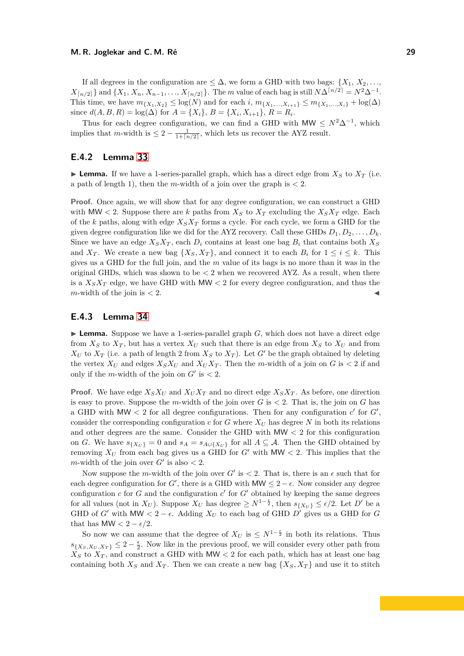If all degrees in the configuration are  $\leq \Delta$ , we form a GHD with two bags: {*X*<sub>1</sub>, *X*<sub>2</sub>, ...,  $X_{\lceil n/2 \rceil}$  and  $\{X_1, X_n, X_{n-1}, \ldots, X_{\lceil n/2 \rceil} \}$ . The *m* value of each bag is still  $N\Delta^{\lceil n/2 \rceil} = N^2\Delta^{-1}$ . This time, we have  $m_{\{X_1, X_2\}} \leq \log(N)$  and for each *i*,  $m_{\{X_1, ..., X_{i+1}\}} \leq m_{\{X_1, ..., X_i\}} + \log(\Delta)$ since  $d(A, B, R) = \log(\Delta)$  for  $A = \{X_i\}, B = \{X_i, X_{i+1}\}, R = R_i$ .

Thus for each degree configuration, we can find a GHD with  $MW \leq N^2\Delta^{-1}$ , which implies that *m*-width is  $\leq 2 - \frac{1}{1 + \lceil n/2 \rceil}$ , which lets us recover the AYZ result.

### **E.4.2 Lemma [33](#page-22-0)**

**Lemma.** If we have a 1-series-parallel graph, which has a direct edge from  $X<sub>S</sub>$  to  $X<sub>T</sub>$  (i.e. a path of length 1), then the *m*-width of a join over the graph is  $\lt 2$ .

**Proof.** Once again, we will show that for any degree configuration, we can construct a GHD with MW  $\lt$  2. Suppose there are *k* paths from  $X_S$  to  $X_T$  excluding the  $X_S X_T$  edge. Each of the *k* paths, along with edge *XSX<sup>T</sup>* forms a cycle. For each cycle, we form a GHD for the given degree configuration like we did for the AYZ recovery. Call these GHDs  $D_1, D_2, \ldots, D_k$ . Since we have an edge  $X_S X_T$ , each  $D_i$  contains at least one bag  $B_i$  that contains both  $X_S$ and  $X_T$ . We create a new bag  $\{X_S, X_T\}$ , and connect it to each  $B_i$  for  $1 \le i \le k$ . This gives us a GHD for the full join, and the *m* value of its bags is no more than it was in the original GHDs, which was shown to be  $\lt 2$  when we recovered AYZ. As a result, when there is a  $X_S X_T$  edge, we have GHD with MW  $\lt 2$  for every degree configuration, and thus the  $m$ -width of the join is  $\lt 2$ .

### **E.4.3 Lemma [34](#page-22-1)**

**Lemma.** Suppose we have a 1-series-parallel graph  $G$ , which does not have a direct edge from  $X_S$  to  $X_T$ , but has a vertex  $X_U$  such that there is an edge from  $X_S$  to  $X_U$  and from  $X_U$  to  $X_T$  (i.e. a path of length 2 from  $X_S$  to  $X_T$ ). Let *G*<sup> $\prime$ </sup> be the graph obtained by deleting the vertex  $X_U$  and edges  $X_S X_U$  and  $X_U X_T$ . Then the *m*-width of a join on *G* is  $\lt 2$  if and only if the *m*-width of the join on  $G'$  is  $\lt 2$ .

**Proof.** We have edge  $X_S X_U$  and  $X_U X_T$  and no direct edge  $X_S X_T$ . As before, one direction is easy to prove. Suppose the *m*-width of the join over  $G$  is  $\lt 2$ . That is, the join on  $G$  has a GHD with  $MW < 2$  for all degree configurations. Then for any configuration  $c'$  for  $G'$ , consider the corresponding configuration  $c$  for  $G$  where  $X_U$  has degree  $N$  in both its relations and other degrees are the same. Consider the GHD with MW *<* 2 for this configuration on *G*. We have  $s_{\{X_U\}} = 0$  and  $s_A = s_{A \cup \{X_U\}}$  for all  $A \subseteq A$ . Then the GHD obtained by removing  $X_U$  from each bag gives us a GHD for  $G'$  with MW < 2. This implies that the *m*-width of the join over  $G'$  is also  $<$  2.

Now suppose the *m*-width of the join over  $G'$  is  $\lt 2$ . That is, there is an  $\epsilon$  such that for each degree configuration for *G'*, there is a GHD with MW  $\leq 2 - \epsilon$ . Now consider any degree configuration  $c$  for  $G$  and the configuration  $c'$  for  $G'$  obtained by keeping the same degrees for all values (not in  $X_U$ ). Suppose  $X_U$  has degree  $\geq N^{1-\frac{\epsilon}{2}}$ , then  $s_{\{X_U\}} \leq \epsilon/2$ . Let  $D'$  be a GHD of *G*<sup> $\prime$ </sup> with MW  $\lt 2 - \epsilon$ . Adding  $X_U$  to each bag of GHD *D*<sup> $\prime$ </sup> gives us a GHD for *G* that has MW  $< 2 - \epsilon/2$ .

So now we can assume that the degree of  $X_U$  is  $\leq N^{1-\frac{\epsilon}{2}}$  in both its relations. Thus  $s_{\{X_S, X_U, X_T\}} \leq 2 - \frac{\epsilon}{2}$ . Now like in the previous proof, we will consider every other path from  $X<sub>S</sub>$  to  $X<sub>T</sub>$ , and construct a GHD with MW < 2 for each path, which has at least one bag containing both  $X_S$  and  $X_T$ . Then we can create a new bag  $\{X_S, X_T\}$  and use it to stitch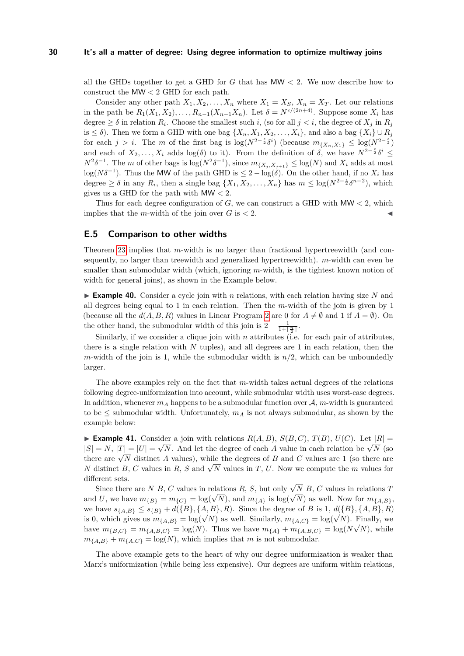all the GHDs together to get a GHD for *G* that has MW *<* 2. We now describe how to construct the MW *<* 2 GHD for each path.

Consider any other path  $X_1, X_2, \ldots, X_n$  where  $X_1 = X_S, X_n = X_T$ . Let our relations in the path be  $R_1(X_1, X_2), \ldots, R_{n-1}(X_{n-1}X_n)$ . Let  $\delta = N^{\epsilon/(2n+4)}$ . Suppose some  $X_i$  has degree  $\geq \delta$  in relation  $R_i$ . Choose the smallest such *i*, (so for all  $j < i$ , the degree of  $X_j$  in  $R_j$ is  $\leq \delta$ ). Then we form a GHD with one bag  $\{X_n, X_1, X_2, \ldots, X_i\}$ , and also a bag  $\{X_i\} \cup R_i$ for each  $j > i$ . The *m* of the first bag is  $\log(N^{2-\frac{\epsilon}{2}}\delta^{i})$  (because  $m_{\{X_n, X_1\}} \leq \log(N^{2-\frac{\epsilon}{2}})$ and each of  $X_2, \ldots, X_i$  adds  $log(\delta)$  to it). From the definition of  $\delta$ , we have  $N^{2-\frac{\epsilon}{2}}\delta^i \leq$  $N^2\delta^{-1}$ . The *m* of other bags is  $\log(N^2\delta^{-1})$ , since  $m_{\{X_j, X_{j+1}\}} \leq \log(N)$  and  $X_i$  adds at most log( $N\delta^{-1}$ ). Thus the MW of the path GHD is  $\leq 2 - \log(\delta)$ . On the other hand, if no  $X_i$  has degree  $\geq \delta$  in any  $R_i$ , then a single bag  $\{X_1, X_2, \ldots, X_n\}$  has  $m \leq \log(N^{2-\frac{\epsilon}{2}}\delta^{n-2})$ , which gives us a GHD for the path with MW *<* 2.

Thus for each degree configuration of *G*, we can construct a GHD with MW *<* 2, which implies that the *m*-width of the join over  $G$  is  $\lt 2$ .

# <span id="page-29-0"></span>**E.5 Comparison to other widths**

Theorem [23](#page-13-1) implies that *m*-width is no larger than fractional hypertreewidth (and consequently, no larger than treewidth and generalized hypertreewidth). *m*-width can even be smaller than submodular width (which, ignoring *m*-width, is the tightest known notion of width for general joins), as shown in the Example below.

**Example 40.** Consider a cycle join with *n* relations, with each relation having size N and all degrees being equal to 1 in each relation. Then the *m*-width of the join is given by 1 (because all the  $d(A, B, R)$  values in Linear Program [2](#page-7-1) are 0 for  $A \neq \emptyset$  and 1 if  $A = \emptyset$ ). On the other hand, the submodular width of this join is  $2 - \frac{1}{1 + \lceil \frac{n}{2} \rceil}$ .

Similarly, if we consider a clique join with *n* attributes (i.e. for each pair of attributes, there is a single relation with *N* tuples), and all degrees are 1 in each relation, then the *m*-width of the join is 1, while the submodular width is  $n/2$ , which can be unboundedly larger.

The above examples rely on the fact that *m*-width takes actual degrees of the relations following degree-uniformization into account, while submodular width uses worst-case degrees. In addition, whenever  $m_A$  happens to be a submodular function over  $A$ ,  $m$ -width is guaranteed to be  $\leq$  submodular width. Unfortunately,  $m_A$  is not always submodular, as shown by the example below:

► **Example 41.** Consider a join with relations  $R(A, B)$ ,  $S(B, C)$ ,  $T(B)$ ,  $U(C)$ . Let  $|R|$ **Figure 41.** Consider a join with relations  $R(A, B)$ ,  $S(B, C)$ ,  $I(B)$ ,  $U(C)$ . Let  $|R|$  =  $|S| = N$ ,  $|T| = |U| = \sqrt{N}$ . And let the degree of each *A* value in each relation be  $\sqrt{N}$  (so  $|\mathcal{S}| = N$ ,  $|I| = |U| = \sqrt{N}$ . And let the degree of each *A* value in each relation be  $\sqrt{N}$  (so there are  $\sqrt{N}$  distinct *A* values), while the degrees of *B* and *C* values are 1 (so there are *N* distinct *B*, *C* values in *R*, *S* and  $\sqrt{N}$  values in *T*, *U*. Now we compute the *m* values for *N* distinct *B*, *C* values in *R*, *S* and  $\sqrt{N}$  values in *T*, *U*. Now we compute the *m* values for different sets.

Since there are *N B*, *C* values in relations *R*, *S*, but only  $\sqrt{N}$  *B*, *C* values in relations *T* and *U*, we have  $m_{\{B\}} = m_{\{C\}} = \log(\sqrt{N})$ , and  $m_{\{A\}}$  is  $\log(\sqrt{N})$  as well. Now for  $m_{\{A,B\}}$ , we have  $s_{\{A,B\}} \leq s_{\{B\}} + d(\{B\}, \{A,B\}, R)$ . Since the degree of *B* is 1,  $d(\{B\}, \{A,B\}, R)$ is 0, which gives us  $m_{\{A,B\}} = \log(\sqrt{N})$  as well. Similarly,  $m_{\{A,C\}} = \log(\sqrt{N})$ . Finally, we have  $m_{\{B,C\}} = m_{\{A,B,C\}} = \log(N)$ . Thus we have  $m_{\{A\}} + m_{\{A,B,C\}} = \log(N\sqrt{N})$ , while  $m_{\{A,B\}} + m_{\{A,C\}} = \log(N)$ , which implies that *m* is not submodular.

The above example gets to the heart of why our degree uniformization is weaker than Marx's uniformization (while being less expensive). Our degrees are uniform within relations,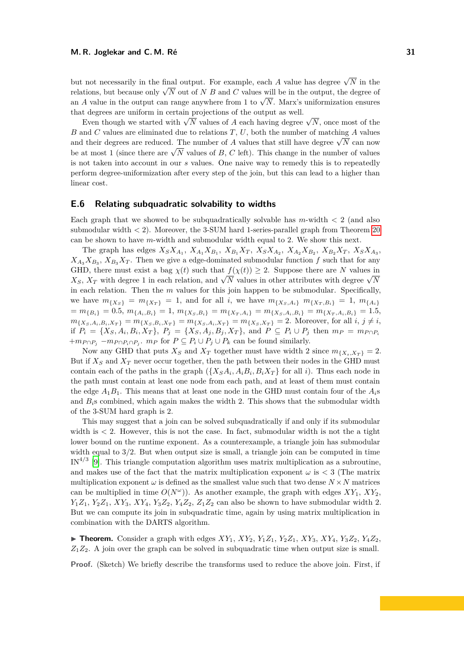but not necessarily in the final output. For example, each *A* value has degree  $\sqrt{N}$  in the but not necessarily in the linal output. For example, each A value has degree  $\sqrt{N}$  in the relations, but because only  $\sqrt{N}$  out of N B and C values will be in the output, the degree of relations, but because only  $\sqrt{N}$  out of  $N$  *B* and C values will be in the output, the degree of an *A* value in the output can range anywhere from 1 to  $\sqrt{N}$ . Marx's uniformization ensures that degrees are uniform in certain projections of the output as well.

t degrees are unnorm in certain projections of the output as wen.<br>Even though we started with  $\sqrt{N}$  values of *A* each having degree  $\sqrt{N}$ , once most of the *B* and *C* values are eliminated due to relations *T*, *U*, both the number of matching *A* values  $\overline{D}$  and  $\overline{C}$  values are enfinitived due to relations  $\overline{T}$ ,  $\overline{C}$ , both the number of matching  $\overline{A}$  values and their degrees are reduced. The number of  $\overline{A}$  values that still have degree  $\sqrt{N}$  can be at most 1 (since there are  $\sqrt{N}$  values of *B*, *C* left). This change in the number of values be at most 1 (since there are  $\sqrt{N}$  values of *B*, *C* left). This change in the number of values is not taken into account in our *s* values. One naive way to remedy this is to repeatedly perform degree-uniformization after every step of the join, but this can lead to a higher than linear cost.

### <span id="page-30-0"></span>**E.6 Relating subquadratic solvability to widths**

Each graph that we showed to be subquadratically solvable has *m*-width *<* 2 (and also submodular width *<* 2). Moreover, the 3-SUM hard 1-series-parallel graph from Theorem [20](#page-12-1) can be shown to have *m*-width and submodular width equal to 2. We show this next.

The graph has edges  $X_S X_{A_1}$ ,  $X_{A_1} X_{B_1}$ ,  $X_{B_1} X_T$ ,  $X_S X_{A_2}$ ,  $X_{A_2} X_{B_2}$ ,  $X_{B_2} X_T$ ,  $X_S X_{A_3}$ ,  $X_{A_3}X_{B_3}$ ,  $X_{B_3}X_T$ . Then we give a edge-dominated submodular function *f* such that for any GHD, there must exist a bag  $\chi(t)$  such that  $f(\chi(t)) \geq 2$ . Suppose there are *N* values in *X*<sub>*S*</sub>, *X*<sub>*T*</sub> with degree 1 in each relation, and  $\sqrt{N}$  values in other attributes with degree  $\sqrt{N}$ in each relation. Then the *m* values for this join happen to be submodular. Specifically, we have  $m_{\{X_S\}} = m_{\{X_T\}} = 1$ , and for all *i*, we have  $m_{\{X_S, A_i\}} m_{\{X_T, B_i\}} = 1$ ,  $m_{\{A_i\}}$  $m_{\{B_i\}} = m_{\{B_i\}} = 0.5, m_{\{A_i, B_i\}} = 1, m_{\{X_S, B_i\}} = m_{\{X_T, A_i\}} = m_{\{X_S, A_i, B_i\}} = m_{\{X_T, A_i, B_i\}} = 1.5$  $m_{\{X_S, A_i, B_i, X_T\}} = m_{\{X_S, B_i, X_T\}} = m_{\{X_S, A_i, X_T\}} = m_{\{X_S, X_T\}} = 2.$  Moreover, for all  $i, j \neq i$ , if  $P_i = \{X_S, A_i, B_i, X_T\}, P_j = \{X_S, A_j, B_j, X_T\}, \text{ and } P \subseteq P_i \cup P_j \text{ then } m_P = m_{P \cap P_i}$  $+m_{P \cap P_j} - m_{P \cap P_i \cap P_j}$ .  $m_P$  for  $P \subseteq P_i \cup P_j \cup P_k$  can be found similarly.

Now any GHD that puts  $X_S$  and  $X_T$  together must have width 2 since  $m_{\{X_s, X_T\}} = 2$ . But if  $X_S$  and  $X_T$  never occur together, then the path between their nodes in the GHD must contain each of the paths in the graph  $(\{X_S A_i, A_i B_i, B_i X_T\})$  for all *i*). Thus each node in the path must contain at least one node from each path, and at least of them must contain the edge  $A_1B_1$ . This means that at least one node in the GHD must contain four of the  $A_i$ s and *Bi*s combined, which again makes the width 2. This shows that the submodular width of the 3-SUM hard graph is 2.

This may suggest that a join can be solved subquadratically if and only if its submodular width is  $\lt 2$ . However, this is not the case. In fact, submodular width is not the a tight lower bound on the runtime exponent. As a counterexample, a triangle join has submodular width equal to  $3/2$ . But when output size is small, a triangle join can be computed in time IN<sup>4/3</sup> [\[9\]](#page-16-18). This triangle computation algorithm uses matrix multiplication as a subroutine, and makes use of the fact that the matrix multiplication exponent  $\omega$  is  $\langle$  3 (The matrix multiplication exponent  $\omega$  is defined as the smallest value such that two dense  $N \times N$  matrices can be multiplied in time  $O(N^{\omega})$ ). As another example, the graph with edges  $XY_1$ ,  $XY_2$ ,  $Y_1Z_1$ ,  $Y_2Z_1$ ,  $XY_3$ ,  $XY_4$ ,  $Y_3Z_2$ ,  $Y_4Z_2$ ,  $Z_1Z_2$  can also be shown to have submodular width 2. But we can compute its join in subquadratic time, again by using matrix multiplication in combination with the DARTS algorithm.

 $\triangleright$  **Theorem.** Consider a graph with edges *XY*<sub>1</sub>, *XY*<sub>2</sub>, *Y*<sub>1</sub>Z<sub>1</sub>, *XY*<sub>2</sub>, *XY*<sub>3</sub>, *XY*<sub>4</sub>, *Y*<sub>3</sub>Z<sub>2</sub>, *Y*<sub>4</sub>Z<sub>2</sub>,  $Z_1 Z_2$ . A join over the graph can be solved in subquadratic time when output size is small.

**Proof.** (Sketch) We briefly describe the transforms used to reduce the above join. First, if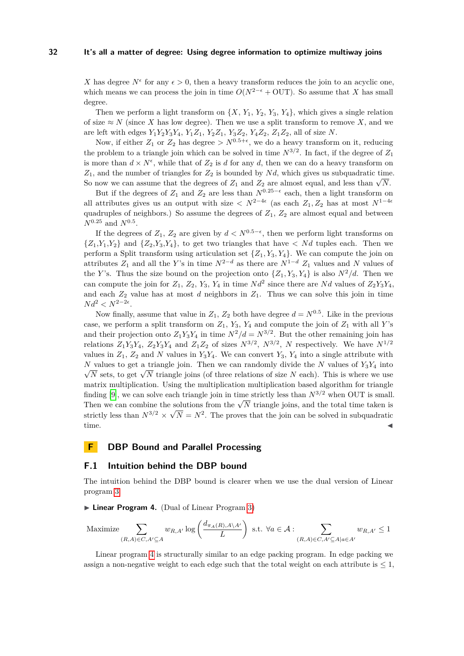*X* has degree  $N^{\epsilon}$  for any  $\epsilon > 0$ , then a heavy transform reduces the join to an acyclic one, which means we can process the join in time  $O(N^{2-\epsilon} + \text{OUT})$ . So assume that *X* has small degree.

Then we perform a light transform on  $\{X, Y_1, Y_2, Y_3, Y_4\}$ , which gives a single relation of size  $\approx N$  (since X has low degree). Then we use a split transform to remove X, and we are left with edges  $Y_1Y_2Y_3Y_4$ ,  $Y_1Z_1$ ,  $Y_2Z_1$ ,  $Y_3Z_2$ ,  $Y_4Z_2$ ,  $Z_1Z_2$ , all of size N.

Now, if either  $Z_1$  or  $Z_2$  has degree  $> N^{0.5+\epsilon}$ , we do a heavy transform on it, reducing the problem to a triangle join which can be solved in time  $N^{3/2}$ . In fact, if the degree of  $Z_1$ is more than  $d \times N^{\epsilon}$ , while that of  $Z_2$  is *d* for any *d*, then we can do a heavy transform on *Z*1, and the number of triangles for *Z*<sup>2</sup> is bounded by *N d*, which gives us subquadratic time.  $Z_1$ , and the number of triangles for  $Z_2$  is bounded by *Na*, which gives us subquadratic time<br>So now we can assume that the degrees of  $Z_1$  and  $Z_2$  are almost equal, and less than  $\sqrt{N}$ .

But if the degrees of  $Z_1$  and  $Z_2$  are less than  $N^{0.25-\epsilon}$  each, then a light transform on all attributes gives us an output with size  $\langle N^{2-4\epsilon} \rangle$  (as each  $Z_1, Z_2$  has at most  $N^{1-4\epsilon}$ quadruples of neighbors.) So assume the degrees of  $Z_1$ ,  $Z_2$  are almost equal and between  $N^{0.25}$  and  $N^{0.5}$ .

If the degrees of  $Z_1$ ,  $Z_2$  are given by  $d < N^{0.5-\epsilon}$ , then we perform light transforms on  $\{Z_1, Y_1, Y_2\}$  and  $\{Z_2, Y_3, Y_4\}$ , to get two triangles that have  $\langle N_d \rangle$  tuples each. Then we perform a Split transform using articulation set  $\{Z_1, Y_3, Y_4\}$ . We can compute the join on attributes  $Z_1$  and all the *Y*'s in time  $N^{2-d}$  as there are  $N^{1-d} Z_1$  values and *N* values of the *Y*'s. Thus the size bound on the projection onto  $\{Z_1, Y_3, Y_4\}$  is also  $N^2/d$ . Then we can compute the join for  $Z_1$ ,  $Z_2$ ,  $Y_3$ ,  $Y_4$  in time  $Nd^2$  since there are  $Nd$  values of  $Z_2Y_3Y_4$ , and each  $Z_2$  value has at most *d* neighbors in  $Z_1$ . Thus we can solve this join in time  $Nd^2 < N^{2-2\epsilon}$ .

Now finally, assume that value in  $Z_1$ ,  $Z_2$  both have degree  $d = N^{0.5}$ . Like in the previous case, we perform a split transform on  $Z_1$ ,  $Y_3$ ,  $Y_4$  and compute the join of  $Z_1$  with all *Y*'s and their projection onto  $Z_1 Y_3 Y_4$  in time  $N^2/d = N^{3/2}$ . But the other remaining join has relations  $Z_1Y_3Y_4$ ,  $Z_2Y_3Y_4$  and  $Z_1Z_2$  of sizes  $N^{3/2}$ ,  $N^{3/2}$ , N respectively. We have  $N^{1/2}$ values in  $Z_1$ ,  $Z_2$  and N values in  $Y_3Y_4$ . We can convert  $Y_3$ ,  $Y_4$  into a single attribute with *N* values to get a triangle join. Then we can randomly divide the *N* values of  $Y_3Y_4$  into values to get a triangle join. Then we can randomly divide the *N* values of  $r_3r_4$  into  $\overline{N}$  sets, to get  $\sqrt{N}$  triangle joins (of three relations of size *N* each). This is where we use matrix multiplication. Using the multiplication multiplication based algorithm for triangle finding [\[9\]](#page-16-18), we can solve each triangle join in time strictly less than  $N^{3/2}$  when OUT is small. Then we can combine the solutions from the  $\sqrt{N}$  triangle joins, and the total time taken is<br>Then we can combine the solutions from the  $\sqrt{N}$  triangle joins, and the total time taken is strictly less than  $N^{3/2} \times \sqrt{N} = N^2$ . The proves that the join can be solved in subquadratic  $time.$   $\blacksquare$ 

# **F DBP Bound and Parallel Processing**

# **F.1 Intuition behind the DBP bound**

The intuition behind the DBP bound is clearer when we use the dual version of Linear program [3.](#page-14-1)

<span id="page-31-0"></span>► Linear Program 4. (Dual of Linear Program [3\)](#page-14-1)

$$
\text{Maximize} \sum_{(R,A) \in C, A' \subseteq A} w_{R,A'} \log \left( \frac{d_{\pi_A(R), A \setminus A'}}{L} \right) \text{ s.t. } \forall a \in \mathcal{A} : \sum_{(R,A) \in C, A' \subseteq A \mid a \in A'} w_{R,A'} \le 1
$$

Linear program [4](#page-31-0) is structurally similar to an edge packing program. In edge packing we assign a non-negative weight to each edge such that the total weight on each attribute is  $\leq 1$ ,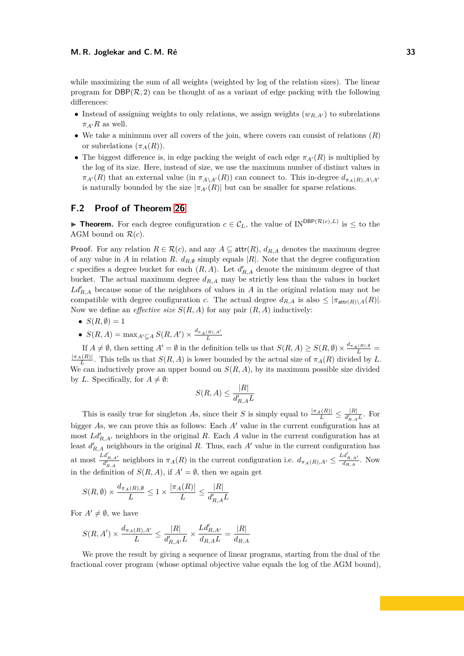while maximizing the sum of all weights (weighted by log of the relation sizes). The linear program for  $DBP(\mathcal{R}, 2)$  can be thought of as a variant of edge packing with the following differences:

- Instead of assigning weights to only relations, we assign weights  $(w_{R,A})$  to subrelations  $\pi_{A}$ <sup>*R*</sup> as well.
- We take a minimum over all covers of the join, where covers can consist of relations (*R*) or subrelations  $(\pi_A(R))$ .
- The biggest difference is, in edge packing the weight of each edge  $\pi_{A}(R)$  is multiplied by the log of its size. Here, instead of size, we use the maximum number of distinct values in  $\pi_{A}(R)$  that an external value (in  $\pi_{A\setminus A}(R)$ ) can connect to. This in-degree  $d_{\pi_A(R),A\setminus A}(R)$ is naturally bounded by the size  $|\pi_{A'}(R)|$  but can be smaller for sparse relations.

# <span id="page-32-0"></span>**F.2 Proof of Theorem [26](#page-14-0)**

**► Theorem.** For each degree configuration  $c \in C_L$ , the value of IN<sup>DBP( $\mathcal{R}(c), L$ ) is  $\leq$  to the</sup> AGM bound on  $\mathcal{R}(c)$ .

**Proof.** For any relation  $R \in \mathcal{R}(c)$ , and any  $A \subseteq \text{attr}(R)$ ,  $d_{R,A}$  denotes the maximum degree of any value in *A* in relation *R*.  $d_{R,\emptyset}$  simply equals |*R*|. Note that the degree configuration *c* specifies a degree bucket for each  $(R, A)$ . Let  $d'_{R,A}$  denote the minimum degree of that bucket. The actual maximum degree  $d_{R,A}$  may be strictly less than the values in bucket  $Ld'_{R,A}$  because some of the neighbors of values in *A* in the original relation may not be compatible with degree configuration *c*. The actual degree  $d_{R,A}$  is also  $\leq |\pi_{\text{attr}(R)\setminus A}(R)|$ . Now we define an *effective size*  $S(R, A)$  for any pair  $(R, A)$  inductively:

- $S(R, \emptyset) = 1$
- $S(R, A) = \max_{A' \subsetneq A} S(R, A') \times \frac{d_{\pi_A(R), A'}}{L}$

If  $A \neq \emptyset$ , then setting  $A' = \emptyset$  in the definition tells us that  $S(R, A) \geq S(R, \emptyset) \times \frac{d_{\pi_A(R), \emptyset}}{L} =$  $\frac{|\pi_A(R)|}{L}$ . This tells us that  $S(R, A)$  is lower bounded by the actual size of  $\pi_A(R)$  divided by *L*. We can inductively prove an upper bound on  $S(R, A)$ , by its maximum possible size divided by *L*. Specifically, for  $A \neq \emptyset$ :

$$
S(R, A) \le \frac{|R|}{d'_{R,A}L}
$$

This is easily true for singleton *A*s, since their *S* is simply equal to  $\frac{|\pi_A(R)|}{L} \leq \frac{|R|}{d_{R_A}^L}$  $\frac{|R|}{d'_{R,A}L}$ . For bigger As, we can prove this as follows: Each A' value in the current configuration has at most  $Ld'_{R,A'}$  neighbors in the original R. Each A value in the current configuration has at least  $d'_{R,A}$  neighbours in the original R. Thus, each A' value in the current configuration has at most  $\frac{Ld'_{R,A'}}{d'_{R,A}}$  neighbors in  $\pi_A(R)$  in the current configuration i.e.  $d_{\pi_A(R),A'} \leq \frac{Ld'_{R,A'}}{d_{R,A}}$ . Now in the definition of  $S(R, A)$ , if  $A' = \emptyset$ , then we again get

$$
S(R, \emptyset) \times \frac{d_{\pi_A(R), \emptyset}}{L} \le 1 \times \frac{|\pi_A(R)|}{L} \le \frac{|R|}{d_{R, A}' L}
$$

For  $A' \neq \emptyset$ , we have

$$
S(R,A')\times\frac{d_{\pi_A(R),A'}}{L}\leq\frac{|R|}{d'_{R,A'}L}\times\frac{Ld'_{R,A'}}{d_{R,A}L}=\frac{|R|}{d_{R,A}}
$$

We prove the result by giving a sequence of linear programs, starting from the dual of the fractional cover program (whose optimal objective value equals the log of the AGM bound),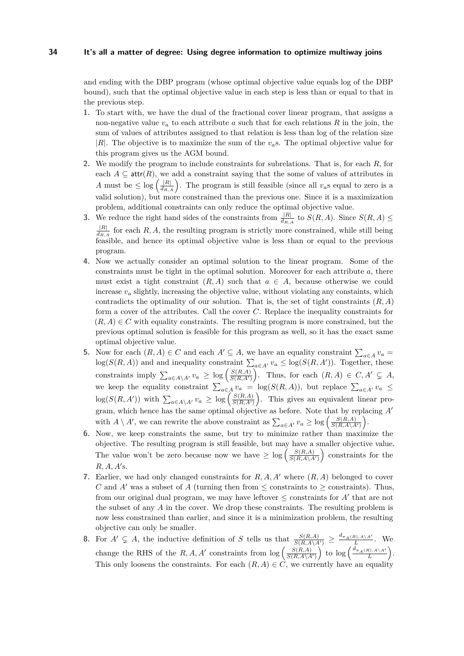and ending with the DBP program (whose optimal objective value equals log of the DBP bound), such that the optimal objective value in each step is less than or equal to that in the previous step.

- **1.** To start with, we have the dual of the fractional cover linear program, that assigns a non-negative value  $v_a$  to each attribute  $a$  such that for each relations  $R$  in the join, the sum of values of attributes assigned to that relation is less than log of the relation size |*R*|. The objective is to maximize the sum of the *va*s. The optimal objective value for this program gives us the AGM bound.
- **2.** We modify the program to include constraints for subrelations. That is, for each *R*, for each  $A \subseteq \text{attr}(R)$ , we add a constraint saying that the some of values of attributes in *A* must be  $\leq \log \left( \frac{|R|}{d_{R,A}} \right)$ . The program is still feasible (since all  $v_a$ s equal to zero is a valid solution), but more constrained than the previous one. Since it is a maximization problem, additional constraints can only reduce the optimal objective value.
- **3.** We reduce the right hand sides of the constraints from  $\frac{|R|}{d_{R,A}}$  to  $S(R, A)$ . Since  $S(R, A)$ |*R*|  $\frac{|R|}{d_{R,A}}$  for each *R, A*, the resulting program is strictly more constrained, while still being feasible, and hence its optimal objective value is less than or equal to the previous program.
- **4.** Now we actually consider an optimal solution to the linear program. Some of the constraints must be tight in the optimal solution. Moreover for each attribute *a*, there must exist a tight constraint  $(R, A)$  such that  $a \in A$ , because otherwise we could increase  $v_a$  slightly, increasing the objective value, without violating any constaints, which contradicts the optimality of our solution. That is, the set of tight constraints (*R, A*) form a cover of the attributes. Call the cover *C*. Replace the inequality constraints for  $(R, A) \in C$  with equality constraints. The resulting program is more constrained, but the previous optimal solution is feasible for this program as well, so it has the exact same optimal objective value.
- **5.** Now for each  $(R, A) \in C$  and each  $A' \subseteq A$ , we have an equality constraint  $\sum_{a \in A} v_a =$  $log(S(R, A))$  and and inequality constraint  $\sum_{a \in A'} v_a \le log(S(R, A'))$ . Together, these constraints imply  $\sum_{a \in A \setminus A'} v_a \geq \log \left( \frac{S(R,A)}{S(R,A')} \right)$ . Thus, for each  $(R, A) \in C, A' \subsetneq A$ , we keep the equality constraint  $\sum_{a \in A} v_a = \log(S(R, A))$ , but replace  $\sum_{a \in A'} v_a \leq$  $\log(S(R, A'))$  with  $\sum_{a \in A \setminus A'} v_a \geq \log\left(\frac{S(R, A)}{S(R, A')}\right)$ . This gives an equivalent linear program, which hence has the same optimal objective as before. Note that by replacing *A*<sup>0</sup> with  $A \setminus A'$ , we can rewrite the above constraint as  $\sum_{a \in A'} v_a \ge \log \left( \frac{S(R, A)}{S(R, A \setminus A')} \right)$ .
- **6.** Now, we keep constraints the same, but try to minimize rather than maximize the objective. The resulting program is still feasible, but may have a smaller objective value. The value won't be zero because now we have  $\geq \log \left( \frac{S(R,A)}{S(R,A\setminus A')} \right)$  constraints for the  $R, A, A$ 's.
- **7.** Earlier, we had only changed constraints for  $R$ ,  $A$ ,  $A$ <sup>*i*</sup> where  $(R, A)$  belonged to cover *C* and *A*<sup> $\prime$ </sup> was a subset of *A* (turning then from  $\leq$  constraints to  $\geq$  constraints). Thus, from our original dual program, we may have leftover  $\leq$  constraints for  $A'$  that are not the subset of any *A* in the cover. We drop these constraints. The resulting problem is now less constrained than earlier, and since it is a minimization problem, the resulting objective can only be smaller.
- **8.** For  $A' \subsetneq A$ , the inductive definition of *S* tells us that  $\frac{S(R,A)}{S(R,A\setminus A')} \geq \frac{d_{\pi_A(R),A\setminus A'}}{L}$ . We change the RHS of the  $R, A, A'$  constraints from  $\log \left( \frac{S(R, A)}{S(R, A \setminus A')} \right)$  to  $\log \left( \frac{d_{\pi_A(R), A \setminus A'}}{L} \right)$ . This only loosens the constraints. For each  $(R, A) \in \mathcal{C}$ , we currently have an equality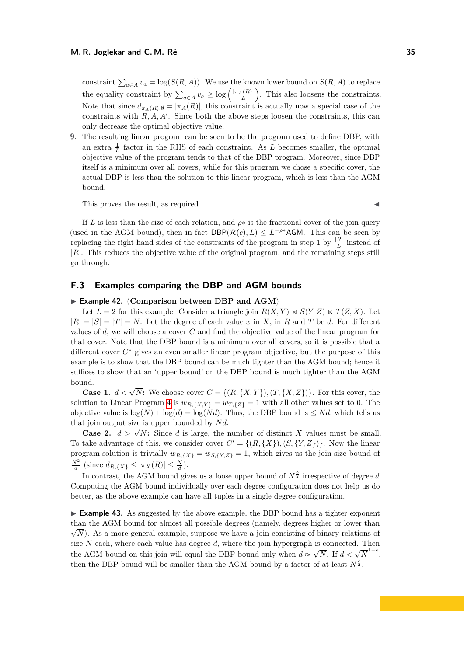constraint  $\sum_{a \in A} v_a = \log(S(R, A))$ . We use the known lower bound on  $S(R, A)$  to replace the equality constraint by  $\sum_{a \in A} v_a \geq \log \left( \frac{|\pi_A(R)|}{L} \right)$ . This also loosens the constraints. Note that since  $d_{\pi_A(R),\emptyset} = |\pi_A(R)|$ , this constraint is actually now a special case of the constraints with  $R, A, A'$ . Since both the above steps loosen the constraints, this can only decrease the optimal objective value.

**9.** The resulting linear program can be seen to be the program used to define DBP, with an extra  $\frac{1}{L}$  factor in the RHS of each constraint. As *L* becomes smaller, the optimal objective value of the program tends to that of the DBP program. Moreover, since DBP itself is a minimum over all covers, while for this program we chose a specific cover, the actual DBP is less than the solution to this linear program, which is less than the AGM bound.

This proves the result, as required.

If *L* is less than the size of each relation, and  $\rho *$  is the fractional cover of the join query (used in the AGM bound), then in fact  $DBP(\mathcal{R}(c), L) \leq L^{-\rho^*}AGM$ . This can be seen by replacing the right hand sides of the constraints of the program in step 1 by  $\frac{|R|}{L}$  instead of |*R*|. This reduces the objective value of the original program, and the remaining steps still go through.

# <span id="page-34-0"></span>**F.3 Examples comparing the DBP and AGM bounds**

### ▶ Example 42. (Comparison between DBP and AGM)

Let  $L = 2$  for this example. Consider a triangle join  $R(X, Y) \bowtie S(Y, Z) \bowtie T(Z, X)$ . Let  $|R| = |S| = |T| = N$ . Let the degree of each value *x* in *X*, in *R* and *T* be *d*. For different values of *d*, we will choose a cover *C* and find the objective value of the linear program for that cover. Note that the DBP bound is a minimum over all covers, so it is possible that a different cover *C* <sup>∗</sup> gives an even smaller linear program objective, but the purpose of this example is to show that the DBP bound can be much tighter than the AGM bound; hence it suffices to show that an 'upper bound' on the DBP bound is much tighter than the AGM bound.

**Case 1.**  $d < \sqrt{N}$ : We choose cover  $C = \{(R, \{X, Y\}), (T, \{X, Z\})\}$ . For this cover, the solution to Linear Program [4](#page-31-0) is  $w_{R,\{X,Y\}} = w_{T,\{Z\}} = 1$  with all other values set to 0. The objective value is  $\log(N) + \log(d) = \log(Nd)$ . Thus, the DBP bound is  $\leq Nd$ , which tells us that join output size is upper bounded by Nd.

**Case 2.**  $d > \sqrt{N}$ : Since *d* is large, the number of distinct *X* values must be small. To take advantage of this, we consider cover  $C' = \{(R, \{X\}), (S, \{Y, Z\})\}$ . Now the linear program solution is trivially  $w_{R, \{X\}} = w_{S, \{Y, Z\}} = 1$ , which gives us the join size bound of  $\frac{N^2}{d}$  (since  $d_{R,\{X\}} \leq |\pi_X(R)| \leq \frac{N}{d}$ ).

In contrast, the AGM bound gives us a loose upper bound of  $N^{\frac{3}{2}}$  irrespective of degree d. Computing the AGM bound individually over each degree configuration does not help us do better, as the above example can have all tuples in a single degree configuration.

► **Example 43.** As suggested by the above example, the DBP bound has a tighter exponent than the AGM bound for almost all possible degrees (namely, degrees higher or lower than √  $\sqrt{N}$ ). As a more general example, suppose we have a join consisting of binary relations of size  $N$  each, where each value has degree  $d$ , where the join hypergraph is connected. Then the AGM bound on this join will equal the DBP bound only when  $d \approx$  $\sqrt{N}$ . If *d* <  $\sqrt{N}^{1-\epsilon}$ , then the DBP bound will be smaller than the AGM bound by a factor of at least  $N^{\frac{\epsilon}{2}}$ .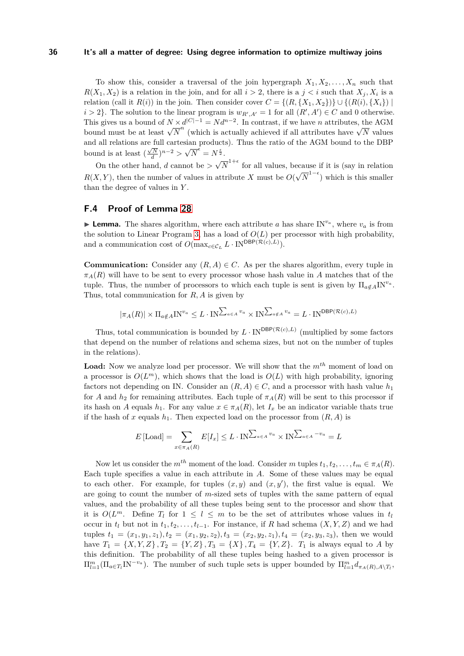To show this, consider a traversal of the join hypergraph  $X_1, X_2, \ldots, X_n$  such that  $R(X_1, X_2)$  is a relation in the join, and for all  $i > 2$ , there is a  $j < i$  such that  $X_j, X_i$  is a relation (call it  $R(i)$ ) in the join. Then consider cover  $C = \{(R, \{X_1, X_2\})\} \cup \{(R(i), \{X_i\})\}\$  $i > 2$ . The solution to the linear program is  $w_{R',A'} = 1$  for all  $(R', A') \in C$  and 0 otherwise. This gives us a bound of  $N \times d^{|C|-1} = N d^{n-2}$ . In contrast, if we have *n* attributes, the AGM bound must be at least  $\sqrt{N}^n$  (which is actually achieved if all attributes have  $\sqrt{N}$  values bound must be at least  $\sqrt{N}^n$  (which is actually achieved if all attributes have  $\sqrt{N}$  values and all relations are full cartesian products). Thus the ratio of the AGM bound to the DBP bound is at least  $\left(\frac{\sqrt{N}}{d}\right)^{n-2} > \sqrt{2}$  $\overline{N}^{\epsilon} = N^{\frac{\epsilon}{2}}$ . √

On the other hand, *d* cannot be *>*  $\overline{N}^{1+\epsilon}$  for all values, because if it is (say in relation *R*(*X, Y* ), then the number of values in attribute *X* must be *O*( √  $\overline{N}^{1-\epsilon}$ ) which is this smaller than the degree of values in *Y* .

# **F.4 Proof of Lemma [28](#page-15-0)**

**Lemma.** The shares algorithm, where each attribute *a* has share  $IN^{v_a}$ , where  $v_a$  is from the solution to Linear Program [3,](#page-14-1) has a load of  $O(L)$  per processor with high probability, and a communication cost of  $O(\max_{c \in C_L} L \cdot \text{IN}^{\text{DBP}(\mathcal{R}(c),L)})$ .

**Communication:** Consider any  $(R, A) \in C$ . As per the shares algorithm, every tuple in  $\pi_A(R)$  will have to be sent to every processor whose hash value in *A* matches that of the tuple. Thus, the number of processors to which each tuple is sent is given by  $\Pi_{a \notin A} \text{IN}^{v_a}$ . Thus, total communication for *R, A* is given by

$$
|\pi_A(R)| \times \Pi_{a \notin A} \text{IN}^{v_a} \le L \cdot \text{IN}^{\sum_{a \in A} v_a} \times \text{IN}^{\sum_{a \notin A} v_a} = L \cdot \text{IN}^{\text{DBP}(\mathcal{R}(c), L)}
$$

Thus, total communication is bounded by  $L \cdot \text{IN}^{DBP(\mathcal{R}(c),L)}$  (multiplied by some factors that depend on the number of relations and schema sizes, but not on the number of tuples in the relations).

**Load:** Now we analyze load per processor. We will show that the *mth* moment of load on a processor is  $O(L^m)$ , which shows that the load is  $O(L)$  with high probability, ignoring factors not depending on IN. Consider an  $(R, A) \in C$ , and a processor with hash value  $h_1$ for *A* and  $h_2$  for remaining attributes. Each tuple of  $\pi_A(R)$  will be sent to this processor if its hash on *A* equals  $h_1$ . For any value  $x \in \pi_A(R)$ , let  $I_x$  be an indicator variable thats true if the hash of *x* equals  $h_1$ . Then expected load on the processor from  $(R, A)$  is

$$
E\left[\text{Load}\right] = \sum_{x \in \pi_A(R)} E[I_x] \le L \cdot \text{IN}^{\sum_{a \in A} v_a} \times \text{IN}^{\sum_{a \in A} - v_a} = L
$$

Now let us consider the  $m^{th}$  moment of the load. Consider *m* tuples  $t_1, t_2, \ldots, t_m \in \pi_A(R)$ . Each tuple specifies a value in each attribute in *A*. Some of these values may be equal to each other. For example, for tuples  $(x, y)$  and  $(x, y')$ , the first value is equal. We are going to count the number of *m*-sized sets of tuples with the same pattern of equal values, and the probability of all these tuples being sent to the processor and show that it is  $O(L^m)$ . Define  $T_l$  for  $1 \leq l \leq m$  to be the set of attributes whose values in  $t_l$ occur in  $t_l$  but not in  $t_1, t_2, \ldots, t_{l-1}$ . For instance, if *R* had schema  $(X, Y, Z)$  and we had tuples  $t_1 = (x_1, y_1, z_1), t_2 = (x_1, y_2, z_2), t_3 = (x_2, y_2, z_1), t_4 = (x_2, y_3, z_3),$  then we would have  $T_1 = \{X, Y, Z\}$ ,  $T_2 = \{Y, Z\}$ ,  $T_3 = \{X\}$ ,  $T_4 = \{Y, Z\}$ .  $T_1$  is always equal to *A* by this definition. The probability of all these tuples being hashed to a given processor is  $\Pi_{l=1}^m(\Pi_{a \in T_l} \text{IN}^{-v_a})$ . The number of such tuple sets is upper bounded by  $\Pi_{l=1}^m d_{\pi_A(R),A \setminus T_l}$ ,